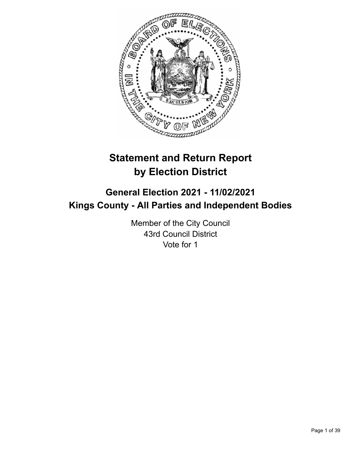

# **Statement and Return Report by Election District**

# **General Election 2021 - 11/02/2021 Kings County - All Parties and Independent Bodies**

Member of the City Council 43rd Council District Vote for 1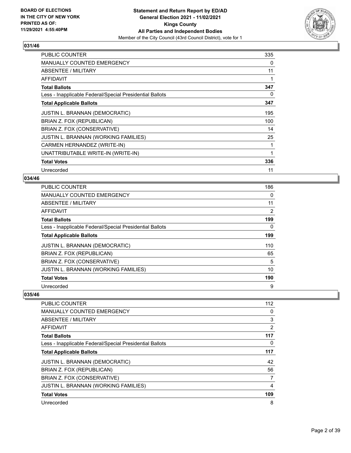

| <b>PUBLIC COUNTER</b>                                    | 335 |
|----------------------------------------------------------|-----|
| <b>MANUALLY COUNTED EMERGENCY</b>                        | 0   |
| ABSENTEE / MILITARY                                      | 11  |
| <b>AFFIDAVIT</b>                                         |     |
| <b>Total Ballots</b>                                     | 347 |
| Less - Inapplicable Federal/Special Presidential Ballots | 0   |
| <b>Total Applicable Ballots</b>                          | 347 |
| JUSTIN L. BRANNAN (DEMOCRATIC)                           | 195 |
| BRIAN Z. FOX (REPUBLICAN)                                | 100 |
| BRIAN Z. FOX (CONSERVATIVE)                              | 14  |
| JUSTIN L. BRANNAN (WORKING FAMILIES)                     | 25  |
| CARMEN HERNANDEZ (WRITE-IN)                              |     |
| UNATTRIBUTABLE WRITE-IN (WRITE-IN)                       | 1   |
| <b>Total Votes</b>                                       | 336 |
| Unrecorded                                               | 11  |

### **034/46**

| PUBLIC COUNTER                                           | 186 |
|----------------------------------------------------------|-----|
| MANUALLY COUNTED EMERGENCY                               | 0   |
| ABSENTEE / MILITARY                                      | 11  |
| AFFIDAVIT                                                | 2   |
| <b>Total Ballots</b>                                     | 199 |
| Less - Inapplicable Federal/Special Presidential Ballots | 0   |
| <b>Total Applicable Ballots</b>                          | 199 |
| JUSTIN L. BRANNAN (DEMOCRATIC)                           | 110 |
| BRIAN Z. FOX (REPUBLICAN)                                | 65  |
| BRIAN Z. FOX (CONSERVATIVE)                              | 5   |
| JUSTIN L. BRANNAN (WORKING FAMILIES)                     | 10  |
| <b>Total Votes</b>                                       | 190 |
| Unrecorded                                               | 9   |

| <b>PUBLIC COUNTER</b>                                    | 112 |
|----------------------------------------------------------|-----|
| <b>MANUALLY COUNTED EMERGENCY</b>                        | 0   |
| ABSENTEE / MILITARY                                      | 3   |
| AFFIDAVIT                                                | 2   |
| <b>Total Ballots</b>                                     | 117 |
| Less - Inapplicable Federal/Special Presidential Ballots | 0   |
| <b>Total Applicable Ballots</b>                          | 117 |
| <b>JUSTIN L. BRANNAN (DEMOCRATIC)</b>                    | 42  |
| BRIAN Z. FOX (REPUBLICAN)                                | 56  |
| BRIAN Z. FOX (CONSERVATIVE)                              | 7   |
| <b>JUSTIN L. BRANNAN (WORKING FAMILIES)</b>              | 4   |
| <b>Total Votes</b>                                       | 109 |
| Unrecorded                                               | 8   |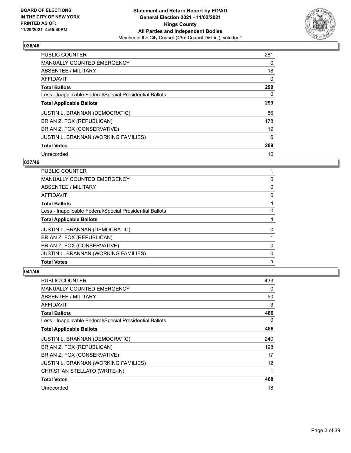

| <b>PUBLIC COUNTER</b>                                    | 281 |
|----------------------------------------------------------|-----|
| <b>MANUALLY COUNTED EMERGENCY</b>                        | 0   |
| ABSENTEE / MILITARY                                      | 18  |
| <b>AFFIDAVIT</b>                                         | 0   |
| <b>Total Ballots</b>                                     | 299 |
| Less - Inapplicable Federal/Special Presidential Ballots | 0   |
| <b>Total Applicable Ballots</b>                          | 299 |
| <b>JUSTIN L. BRANNAN (DEMOCRATIC)</b>                    | 86  |
| BRIAN Z. FOX (REPUBLICAN)                                | 178 |
| BRIAN Z. FOX (CONSERVATIVE)                              | 19  |
| JUSTIN L. BRANNAN (WORKING FAMILIES)                     | 6   |
| <b>Total Votes</b>                                       | 289 |
| Unrecorded                                               | 10  |

## **037/46**

| PUBLIC COUNTER                                           |   |
|----------------------------------------------------------|---|
| <b>MANUALLY COUNTED EMERGENCY</b>                        | 0 |
| ABSENTEE / MILITARY                                      | 0 |
| AFFIDAVIT                                                | 0 |
| <b>Total Ballots</b>                                     |   |
| Less - Inapplicable Federal/Special Presidential Ballots | 0 |
| <b>Total Applicable Ballots</b>                          |   |
| <b>JUSTIN L. BRANNAN (DEMOCRATIC)</b>                    | 0 |
| BRIAN Z. FOX (REPUBLICAN)                                |   |
| BRIAN Z. FOX (CONSERVATIVE)                              | 0 |
| JUSTIN L. BRANNAN (WORKING FAMILIES)                     | 0 |
| <b>Total Votes</b>                                       |   |

| PUBLIC COUNTER                                           | 433 |
|----------------------------------------------------------|-----|
| <b>MANUALLY COUNTED EMERGENCY</b>                        | 0   |
| ABSENTEE / MILITARY                                      | 50  |
| AFFIDAVIT                                                | 3   |
| <b>Total Ballots</b>                                     | 486 |
| Less - Inapplicable Federal/Special Presidential Ballots | 0   |
| <b>Total Applicable Ballots</b>                          | 486 |
| JUSTIN L. BRANNAN (DEMOCRATIC)                           | 240 |
| BRIAN Z. FOX (REPUBLICAN)                                | 198 |
| BRIAN Z. FOX (CONSERVATIVE)                              | 17  |
| JUSTIN L. BRANNAN (WORKING FAMILIES)                     | 12  |
| CHRISTIAN STELLATO (WRITE-IN)                            | 1   |
| <b>Total Votes</b>                                       | 468 |
| Unrecorded                                               | 18  |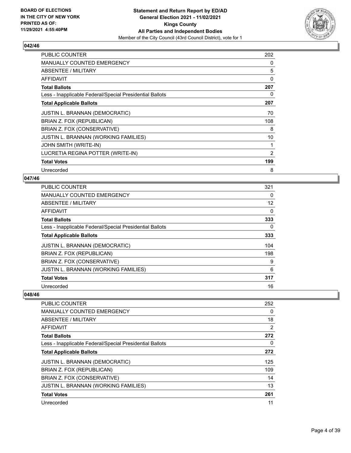

| <b>PUBLIC COUNTER</b>                                    | 202 |
|----------------------------------------------------------|-----|
| <b>MANUALLY COUNTED EMERGENCY</b>                        | 0   |
| ABSENTEE / MILITARY                                      | 5   |
| <b>AFFIDAVIT</b>                                         | 0   |
| <b>Total Ballots</b>                                     | 207 |
| Less - Inapplicable Federal/Special Presidential Ballots | 0   |
| <b>Total Applicable Ballots</b>                          | 207 |
| JUSTIN L. BRANNAN (DEMOCRATIC)                           | 70  |
| BRIAN Z. FOX (REPUBLICAN)                                | 108 |
| BRIAN Z. FOX (CONSERVATIVE)                              | 8   |
| JUSTIN L. BRANNAN (WORKING FAMILIES)                     | 10  |
| JOHN SMITH (WRITE-IN)                                    |     |
| LUCRETIA REGINA POTTER (WRITE-IN)                        | 2   |
| <b>Total Votes</b>                                       | 199 |
| Unrecorded                                               | 8   |

## **047/46**

| PUBLIC COUNTER                                           | 321               |
|----------------------------------------------------------|-------------------|
| MANUALLY COUNTED EMERGENCY                               | 0                 |
| ABSENTEE / MILITARY                                      | $12 \overline{ }$ |
| AFFIDAVIT                                                | $\Omega$          |
| <b>Total Ballots</b>                                     | 333               |
| Less - Inapplicable Federal/Special Presidential Ballots | 0                 |
| <b>Total Applicable Ballots</b>                          | 333               |
| <b>JUSTIN L. BRANNAN (DEMOCRATIC)</b>                    | 104               |
| BRIAN Z. FOX (REPUBLICAN)                                | 198               |
| BRIAN Z. FOX (CONSERVATIVE)                              | 9                 |
| <b>JUSTIN L. BRANNAN (WORKING FAMILIES)</b>              | 6                 |
| <b>Total Votes</b>                                       | 317               |
| Unrecorded                                               | 16                |

| <b>PUBLIC COUNTER</b>                                    | 252 |
|----------------------------------------------------------|-----|
| <b>MANUALLY COUNTED EMERGENCY</b>                        | 0   |
| ABSENTEE / MILITARY                                      | 18  |
| AFFIDAVIT                                                | 2   |
| <b>Total Ballots</b>                                     | 272 |
| Less - Inapplicable Federal/Special Presidential Ballots | 0   |
| <b>Total Applicable Ballots</b>                          | 272 |
| <b>JUSTIN L. BRANNAN (DEMOCRATIC)</b>                    | 125 |
| BRIAN Z. FOX (REPUBLICAN)                                | 109 |
| BRIAN Z. FOX (CONSERVATIVE)                              | 14  |
| <b>JUSTIN L. BRANNAN (WORKING FAMILIES)</b>              | 13  |
| <b>Total Votes</b>                                       | 261 |
| Unrecorded                                               | 11  |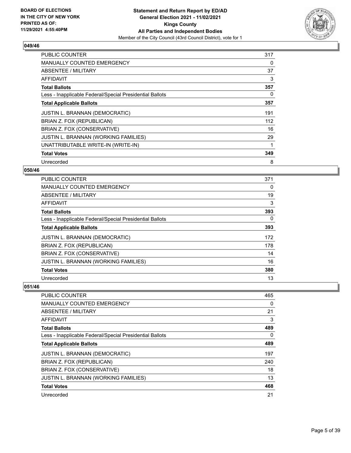

| <b>PUBLIC COUNTER</b>                                    | 317 |
|----------------------------------------------------------|-----|
| <b>MANUALLY COUNTED EMERGENCY</b>                        | 0   |
| ABSENTEE / MILITARY                                      | 37  |
| AFFIDAVIT                                                | 3   |
| <b>Total Ballots</b>                                     | 357 |
| Less - Inapplicable Federal/Special Presidential Ballots | 0   |
| <b>Total Applicable Ballots</b>                          | 357 |
| JUSTIN L. BRANNAN (DEMOCRATIC)                           | 191 |
| BRIAN Z. FOX (REPUBLICAN)                                | 112 |
| BRIAN Z. FOX (CONSERVATIVE)                              | 16  |
| JUSTIN L. BRANNAN (WORKING FAMILIES)                     | 29  |
| UNATTRIBUTABLE WRITE-IN (WRITE-IN)                       |     |
| <b>Total Votes</b>                                       | 349 |
| Unrecorded                                               | 8   |

## **050/46**

| PUBLIC COUNTER                                           | 371      |
|----------------------------------------------------------|----------|
| MANUALLY COUNTED EMERGENCY                               | $\Omega$ |
| ABSENTEE / MILITARY                                      | 19       |
| AFFIDAVIT                                                | 3        |
| <b>Total Ballots</b>                                     | 393      |
| Less - Inapplicable Federal/Special Presidential Ballots | $\Omega$ |
| <b>Total Applicable Ballots</b>                          | 393      |
| <b>JUSTIN L. BRANNAN (DEMOCRATIC)</b>                    | 172      |
| BRIAN Z. FOX (REPUBLICAN)                                | 178      |
| BRIAN Z. FOX (CONSERVATIVE)                              | 14       |
| JUSTIN L. BRANNAN (WORKING FAMILIES)                     | 16       |
| <b>Total Votes</b>                                       | 380      |
| Unrecorded                                               | 13       |

| <b>PUBLIC COUNTER</b>                                    | 465      |
|----------------------------------------------------------|----------|
| <b>MANUALLY COUNTED EMERGENCY</b>                        | $\Omega$ |
| ABSENTEE / MILITARY                                      | 21       |
| AFFIDAVIT                                                | 3        |
| <b>Total Ballots</b>                                     | 489      |
| Less - Inapplicable Federal/Special Presidential Ballots | 0        |
| <b>Total Applicable Ballots</b>                          | 489      |
| <b>JUSTIN L. BRANNAN (DEMOCRATIC)</b>                    | 197      |
| BRIAN Z. FOX (REPUBLICAN)                                | 240      |
| BRIAN Z. FOX (CONSERVATIVE)                              | 18       |
| <b>JUSTIN L. BRANNAN (WORKING FAMILIES)</b>              | 13       |
| <b>Total Votes</b>                                       | 468      |
| Unrecorded                                               | 21       |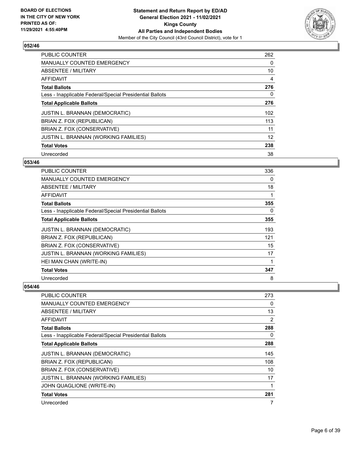

| <b>PUBLIC COUNTER</b>                                    | 262 |
|----------------------------------------------------------|-----|
| <b>MANUALLY COUNTED EMERGENCY</b>                        | 0   |
| ABSENTEE / MILITARY                                      | 10  |
| AFFIDAVIT                                                | 4   |
| <b>Total Ballots</b>                                     | 276 |
| Less - Inapplicable Federal/Special Presidential Ballots | 0   |
| <b>Total Applicable Ballots</b>                          | 276 |
| <b>JUSTIN L. BRANNAN (DEMOCRATIC)</b>                    | 102 |
| BRIAN Z. FOX (REPUBLICAN)                                | 113 |
| BRIAN Z. FOX (CONSERVATIVE)                              | 11  |
| JUSTIN L. BRANNAN (WORKING FAMILIES)                     | 12  |
| <b>Total Votes</b>                                       | 238 |
| Unrecorded                                               | 38  |

## **053/46**

| PUBLIC COUNTER                                           | 336 |
|----------------------------------------------------------|-----|
| <b>MANUALLY COUNTED EMERGENCY</b>                        | 0   |
| ABSENTEE / MILITARY                                      | 18  |
| AFFIDAVIT                                                | 1   |
| <b>Total Ballots</b>                                     | 355 |
| Less - Inapplicable Federal/Special Presidential Ballots | 0   |
| <b>Total Applicable Ballots</b>                          | 355 |
| JUSTIN L. BRANNAN (DEMOCRATIC)                           | 193 |
| BRIAN Z. FOX (REPUBLICAN)                                | 121 |
| BRIAN Z. FOX (CONSERVATIVE)                              | 15  |
| JUSTIN L. BRANNAN (WORKING FAMILIES)                     | 17  |
| HEI MAN CHAN (WRITE-IN)                                  |     |
| <b>Total Votes</b>                                       | 347 |
| Unrecorded                                               | 8   |

| PUBLIC COUNTER                                           | 273 |
|----------------------------------------------------------|-----|
| MANUALLY COUNTED EMERGENCY                               | 0   |
| ABSENTEE / MILITARY                                      | 13  |
| <b>AFFIDAVIT</b>                                         | 2   |
| <b>Total Ballots</b>                                     | 288 |
| Less - Inapplicable Federal/Special Presidential Ballots | 0   |
| <b>Total Applicable Ballots</b>                          | 288 |
| <b>JUSTIN L. BRANNAN (DEMOCRATIC)</b>                    | 145 |
| BRIAN Z. FOX (REPUBLICAN)                                | 108 |
| BRIAN Z. FOX (CONSERVATIVE)                              | 10  |
| JUSTIN L. BRANNAN (WORKING FAMILIES)                     | 17  |
| JOHN QUAGLIONE (WRITE-IN)                                |     |
| <b>Total Votes</b>                                       | 281 |
| Unrecorded                                               |     |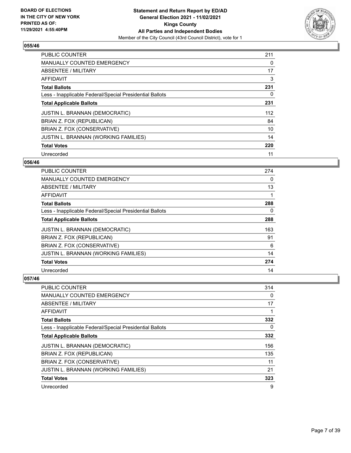

| <b>PUBLIC COUNTER</b>                                    | 211 |
|----------------------------------------------------------|-----|
| <b>MANUALLY COUNTED EMERGENCY</b>                        | 0   |
| ABSENTEE / MILITARY                                      | 17  |
| <b>AFFIDAVIT</b>                                         | 3   |
| <b>Total Ballots</b>                                     | 231 |
| Less - Inapplicable Federal/Special Presidential Ballots | 0   |
| <b>Total Applicable Ballots</b>                          | 231 |
| <b>JUSTIN L. BRANNAN (DEMOCRATIC)</b>                    | 112 |
| BRIAN Z. FOX (REPUBLICAN)                                | 84  |
| BRIAN Z. FOX (CONSERVATIVE)                              | 10  |
| <b>JUSTIN L. BRANNAN (WORKING FAMILIES)</b>              | 14  |
| <b>Total Votes</b>                                       | 220 |
| Unrecorded                                               | 11  |

## **056/46**

| <b>PUBLIC COUNTER</b>                                    | 274      |
|----------------------------------------------------------|----------|
| MANUALLY COUNTED EMERGENCY                               | $\Omega$ |
| ABSENTEE / MILITARY                                      | 13       |
| AFFIDAVIT                                                |          |
| <b>Total Ballots</b>                                     | 288      |
| Less - Inapplicable Federal/Special Presidential Ballots | 0        |
| <b>Total Applicable Ballots</b>                          | 288      |
| <b>JUSTIN L. BRANNAN (DEMOCRATIC)</b>                    | 163      |
| BRIAN Z. FOX (REPUBLICAN)                                | 91       |
| BRIAN Z. FOX (CONSERVATIVE)                              | 6        |
| JUSTIN L. BRANNAN (WORKING FAMILIES)                     | 14       |
| <b>Total Votes</b>                                       | 274      |
| Unrecorded                                               | 14       |

| PUBLIC COUNTER                                           | 314 |
|----------------------------------------------------------|-----|
| <b>MANUALLY COUNTED EMERGENCY</b>                        | 0   |
| ABSENTEE / MILITARY                                      | 17  |
| AFFIDAVIT                                                |     |
| <b>Total Ballots</b>                                     | 332 |
| Less - Inapplicable Federal/Special Presidential Ballots | 0   |
| <b>Total Applicable Ballots</b>                          | 332 |
| <b>JUSTIN L. BRANNAN (DEMOCRATIC)</b>                    | 156 |
| BRIAN Z. FOX (REPUBLICAN)                                | 135 |
| BRIAN Z. FOX (CONSERVATIVE)                              | 11  |
| JUSTIN L. BRANNAN (WORKING FAMILIES)                     | 21  |
| <b>Total Votes</b>                                       | 323 |
| Unrecorded                                               | 9   |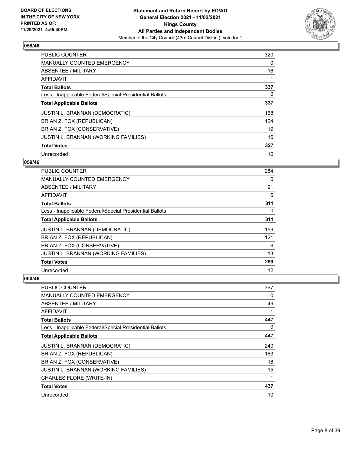

| <b>PUBLIC COUNTER</b>                                    | 320 |
|----------------------------------------------------------|-----|
| <b>MANUALLY COUNTED EMERGENCY</b>                        | 0   |
| ABSENTEE / MILITARY                                      | 16  |
| <b>AFFIDAVIT</b>                                         |     |
| <b>Total Ballots</b>                                     | 337 |
| Less - Inapplicable Federal/Special Presidential Ballots | 0   |
| <b>Total Applicable Ballots</b>                          | 337 |
| <b>JUSTIN L. BRANNAN (DEMOCRATIC)</b>                    | 168 |
| BRIAN Z. FOX (REPUBLICAN)                                | 124 |
| BRIAN Z. FOX (CONSERVATIVE)                              | 19  |
| <b>JUSTIN L. BRANNAN (WORKING FAMILIES)</b>              | 16  |
| <b>Total Votes</b>                                       | 327 |
| Unrecorded                                               | 10  |

## **059/46**

| <b>PUBLIC COUNTER</b>                                    | 284      |
|----------------------------------------------------------|----------|
| MANUALLY COUNTED EMERGENCY                               | $\Omega$ |
| ABSENTEE / MILITARY                                      | 21       |
| AFFIDAVIT                                                | 6        |
| <b>Total Ballots</b>                                     | 311      |
| Less - Inapplicable Federal/Special Presidential Ballots | $\Omega$ |
| <b>Total Applicable Ballots</b>                          | 311      |
| <b>JUSTIN L. BRANNAN (DEMOCRATIC)</b>                    | 159      |
| BRIAN Z. FOX (REPUBLICAN)                                | 121      |
| BRIAN Z. FOX (CONSERVATIVE)                              | 6        |
| JUSTIN L. BRANNAN (WORKING FAMILIES)                     | 13       |
| <b>Total Votes</b>                                       | 299      |
| Unrecorded                                               | 12       |

| PUBLIC COUNTER                                           | 397      |
|----------------------------------------------------------|----------|
| <b>MANUALLY COUNTED EMERGENCY</b>                        | 0        |
| ABSENTEE / MILITARY                                      | 49       |
| AFFIDAVIT                                                | 1        |
| <b>Total Ballots</b>                                     | 447      |
| Less - Inapplicable Federal/Special Presidential Ballots | $\Omega$ |
| <b>Total Applicable Ballots</b>                          | 447      |
| JUSTIN L. BRANNAN (DEMOCRATIC)                           | 240      |
| BRIAN Z. FOX (REPUBLICAN)                                | 163      |
| BRIAN Z. FOX (CONSERVATIVE)                              | 18       |
| JUSTIN L. BRANNAN (WORKING FAMILIES)                     | 15       |
| CHARLES FLORE (WRITE-IN)                                 | 1        |
| <b>Total Votes</b>                                       | 437      |
| Unrecorded                                               | 10       |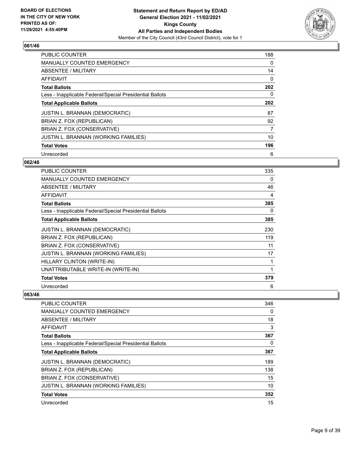

| <b>PUBLIC COUNTER</b>                                    | 188 |
|----------------------------------------------------------|-----|
| <b>MANUALLY COUNTED EMERGENCY</b>                        | 0   |
| ABSENTEE / MILITARY                                      | 14  |
| AFFIDAVIT                                                | 0   |
| <b>Total Ballots</b>                                     | 202 |
| Less - Inapplicable Federal/Special Presidential Ballots | 0   |
| <b>Total Applicable Ballots</b>                          | 202 |
| <b>JUSTIN L. BRANNAN (DEMOCRATIC)</b>                    | 87  |
| BRIAN Z. FOX (REPUBLICAN)                                | 92  |
| BRIAN Z. FOX (CONSERVATIVE)                              | 7   |
| JUSTIN L. BRANNAN (WORKING FAMILIES)                     | 10  |
| <b>Total Votes</b>                                       | 196 |
| Unrecorded                                               | 6   |

## **062/46**

| <b>PUBLIC COUNTER</b>                                    | 335          |
|----------------------------------------------------------|--------------|
| <b>MANUALLY COUNTED EMERGENCY</b>                        | 0            |
| <b>ABSENTEE / MILITARY</b>                               | 46           |
| AFFIDAVIT                                                | 4            |
| <b>Total Ballots</b>                                     | 385          |
| Less - Inapplicable Federal/Special Presidential Ballots | 0            |
| <b>Total Applicable Ballots</b>                          | 385          |
| JUSTIN L. BRANNAN (DEMOCRATIC)                           | 230          |
| BRIAN Z. FOX (REPUBLICAN)                                | 119          |
| BRIAN Z. FOX (CONSERVATIVE)                              | 11           |
| <b>JUSTIN L. BRANNAN (WORKING FAMILIES)</b>              | 17           |
| HILLARY CLINTON (WRITE-IN)                               | 1            |
| UNATTRIBUTABLE WRITE-IN (WRITE-IN)                       | $\mathbf{1}$ |
| <b>Total Votes</b>                                       | 379          |
| Unrecorded                                               | 6            |

| <b>PUBLIC COUNTER</b>                                    | 346 |
|----------------------------------------------------------|-----|
| <b>MANUALLY COUNTED EMERGENCY</b>                        | 0   |
| ABSENTEE / MILITARY                                      | 18  |
| <b>AFFIDAVIT</b>                                         | 3   |
| <b>Total Ballots</b>                                     | 367 |
| Less - Inapplicable Federal/Special Presidential Ballots | 0   |
| <b>Total Applicable Ballots</b>                          | 367 |
| <b>JUSTIN L. BRANNAN (DEMOCRATIC)</b>                    | 189 |
| BRIAN Z. FOX (REPUBLICAN)                                | 138 |
| BRIAN Z. FOX (CONSERVATIVE)                              | 15  |
| JUSTIN L. BRANNAN (WORKING FAMILIES)                     | 10  |
| <b>Total Votes</b>                                       | 352 |
| Unrecorded                                               | 15  |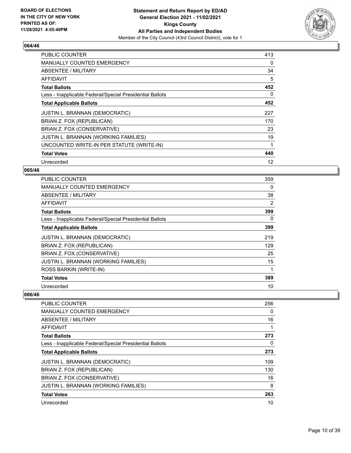

| <b>PUBLIC COUNTER</b>                                    | 413      |
|----------------------------------------------------------|----------|
| <b>MANUALLY COUNTED EMERGENCY</b>                        | $\Omega$ |
| ABSENTEE / MILITARY                                      | 34       |
| AFFIDAVIT                                                | 5        |
| <b>Total Ballots</b>                                     | 452      |
| Less - Inapplicable Federal/Special Presidential Ballots | 0        |
| <b>Total Applicable Ballots</b>                          | 452      |
| JUSTIN L. BRANNAN (DEMOCRATIC)                           | 227      |
| BRIAN Z. FOX (REPUBLICAN)                                | 170      |
| BRIAN Z. FOX (CONSERVATIVE)                              | 23       |
| JUSTIN L. BRANNAN (WORKING FAMILIES)                     | 19       |
| UNCOUNTED WRITE-IN PER STATUTE (WRITE-IN)                |          |
| <b>Total Votes</b>                                       | 440      |
| Unrecorded                                               | 12       |

## **065/46**

| PUBLIC COUNTER                                           | 359 |
|----------------------------------------------------------|-----|
| <b>MANUALLY COUNTED EMERGENCY</b>                        | 0   |
| ABSENTEE / MILITARY                                      | 38  |
| AFFIDAVIT                                                | 2   |
| <b>Total Ballots</b>                                     | 399 |
| Less - Inapplicable Federal/Special Presidential Ballots | 0   |
| <b>Total Applicable Ballots</b>                          | 399 |
| <b>JUSTIN L. BRANNAN (DEMOCRATIC)</b>                    | 219 |
| BRIAN Z. FOX (REPUBLICAN)                                | 129 |
| BRIAN Z. FOX (CONSERVATIVE)                              | 25  |
| <b>JUSTIN L. BRANNAN (WORKING FAMILIES)</b>              | 15  |
| ROSS BARKIN (WRITE-IN)                                   | 1   |
| <b>Total Votes</b>                                       | 389 |
| Unrecorded                                               | 10  |

| <b>PUBLIC COUNTER</b>                                    | 256 |
|----------------------------------------------------------|-----|
| <b>MANUALLY COUNTED EMERGENCY</b>                        | 0   |
| ABSENTEE / MILITARY                                      | 16  |
| <b>AFFIDAVIT</b>                                         |     |
| <b>Total Ballots</b>                                     | 273 |
| Less - Inapplicable Federal/Special Presidential Ballots | 0   |
| <b>Total Applicable Ballots</b>                          | 273 |
| <b>JUSTIN L. BRANNAN (DEMOCRATIC)</b>                    | 109 |
| BRIAN Z. FOX (REPUBLICAN)                                | 130 |
| BRIAN Z. FOX (CONSERVATIVE)                              | 16  |
| <b>JUSTIN L. BRANNAN (WORKING FAMILIES)</b>              | 8   |
| <b>Total Votes</b>                                       | 263 |
| Unrecorded                                               | 10  |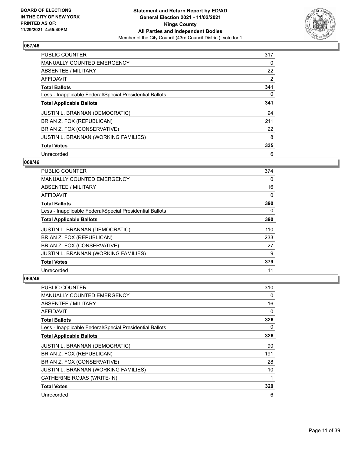

| <b>PUBLIC COUNTER</b>                                    | 317 |
|----------------------------------------------------------|-----|
| <b>MANUALLY COUNTED EMERGENCY</b>                        | 0   |
| ABSENTEE / MILITARY                                      | 22  |
| AFFIDAVIT                                                | 2   |
| <b>Total Ballots</b>                                     | 341 |
| Less - Inapplicable Federal/Special Presidential Ballots | 0   |
| <b>Total Applicable Ballots</b>                          | 341 |
| <b>JUSTIN L. BRANNAN (DEMOCRATIC)</b>                    | 94  |
| BRIAN Z. FOX (REPUBLICAN)                                | 211 |
| BRIAN Z. FOX (CONSERVATIVE)                              | 22  |
| <b>JUSTIN L. BRANNAN (WORKING FAMILIES)</b>              | 8   |
| <b>Total Votes</b>                                       | 335 |
| Unrecorded                                               | 6   |

#### **068/46**

| <b>PUBLIC COUNTER</b>                                    | 374      |
|----------------------------------------------------------|----------|
| MANUALLY COUNTED EMERGENCY                               | $\Omega$ |
| ABSENTEE / MILITARY                                      | 16       |
| AFFIDAVIT                                                | 0        |
| <b>Total Ballots</b>                                     | 390      |
| Less - Inapplicable Federal/Special Presidential Ballots | 0        |
| <b>Total Applicable Ballots</b>                          | 390      |
| <b>JUSTIN L. BRANNAN (DEMOCRATIC)</b>                    | 110      |
| BRIAN Z. FOX (REPUBLICAN)                                | 233      |
| BRIAN Z. FOX (CONSERVATIVE)                              | 27       |
| JUSTIN L. BRANNAN (WORKING FAMILIES)                     | 9        |
| <b>Total Votes</b>                                       | 379      |
| Unrecorded                                               | 11       |

| PUBLIC COUNTER                                           | 310      |
|----------------------------------------------------------|----------|
| MANUALLY COUNTED EMERGENCY                               | 0        |
| ABSENTEE / MILITARY                                      | 16       |
| AFFIDAVIT                                                | $\Omega$ |
| <b>Total Ballots</b>                                     | 326      |
| Less - Inapplicable Federal/Special Presidential Ballots | $\Omega$ |
| <b>Total Applicable Ballots</b>                          | 326      |
| JUSTIN L. BRANNAN (DEMOCRATIC)                           | 90       |
| BRIAN Z. FOX (REPUBLICAN)                                | 191      |
| BRIAN Z. FOX (CONSERVATIVE)                              | 28       |
| JUSTIN L. BRANNAN (WORKING FAMILIES)                     | 10       |
| CATHERINE ROJAS (WRITE-IN)                               | 1        |
| <b>Total Votes</b>                                       | 320      |
| Unrecorded                                               | 6        |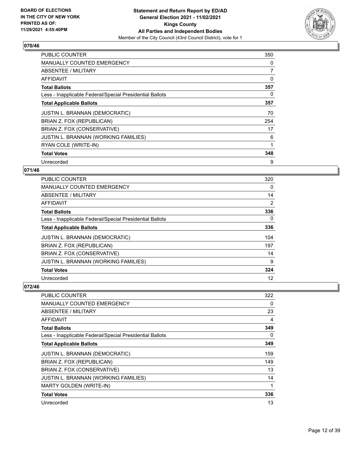

| <b>PUBLIC COUNTER</b>                                    | 350 |
|----------------------------------------------------------|-----|
| <b>MANUALLY COUNTED EMERGENCY</b>                        | 0   |
| ABSENTEE / MILITARY                                      | 7   |
| AFFIDAVIT                                                | 0   |
| <b>Total Ballots</b>                                     | 357 |
| Less - Inapplicable Federal/Special Presidential Ballots | 0   |
| <b>Total Applicable Ballots</b>                          | 357 |
| <b>JUSTIN L. BRANNAN (DEMOCRATIC)</b>                    | 70  |
| BRIAN Z. FOX (REPUBLICAN)                                | 254 |
| BRIAN Z. FOX (CONSERVATIVE)                              | 17  |
| JUSTIN L. BRANNAN (WORKING FAMILIES)                     | 6   |
| RYAN COLE (WRITE-IN)                                     | 1   |
| <b>Total Votes</b>                                       | 348 |
| Unrecorded                                               | 9   |

## **071/46**

| PUBLIC COUNTER                                           | 320      |
|----------------------------------------------------------|----------|
| MANUALLY COUNTED EMERGENCY                               | $\Omega$ |
| ABSENTEE / MILITARY                                      | 14       |
| AFFIDAVIT                                                | 2        |
| <b>Total Ballots</b>                                     | 336      |
| Less - Inapplicable Federal/Special Presidential Ballots | $\Omega$ |
| <b>Total Applicable Ballots</b>                          | 336      |
| <b>JUSTIN L. BRANNAN (DEMOCRATIC)</b>                    | 104      |
| BRIAN Z. FOX (REPUBLICAN)                                | 197      |
| BRIAN Z. FOX (CONSERVATIVE)                              | 14       |
| JUSTIN L. BRANNAN (WORKING FAMILIES)                     | 9        |
| <b>Total Votes</b>                                       | 324      |
| Unrecorded                                               | 12       |

| <b>PUBLIC COUNTER</b>                                    | 322 |
|----------------------------------------------------------|-----|
| <b>MANUALLY COUNTED EMERGENCY</b>                        | 0   |
| ABSENTEE / MILITARY                                      | 23  |
| AFFIDAVIT                                                | 4   |
| <b>Total Ballots</b>                                     | 349 |
| Less - Inapplicable Federal/Special Presidential Ballots | 0   |
| <b>Total Applicable Ballots</b>                          | 349 |
| JUSTIN L. BRANNAN (DEMOCRATIC)                           | 159 |
| BRIAN Z. FOX (REPUBLICAN)                                | 149 |
| BRIAN Z. FOX (CONSERVATIVE)                              | 13  |
| JUSTIN L. BRANNAN (WORKING FAMILIES)                     | 14  |
| MARTY GOLDEN (WRITE-IN)                                  | 1   |
| <b>Total Votes</b>                                       | 336 |
| Unrecorded                                               | 13  |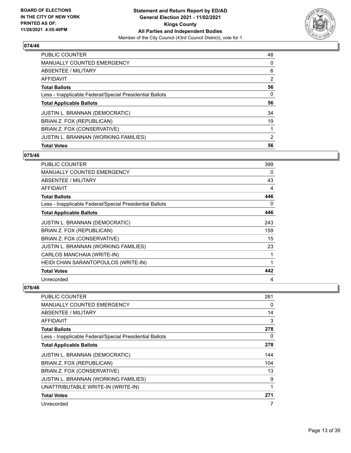

| PUBLIC COUNTER                                           | 48             |
|----------------------------------------------------------|----------------|
| <b>MANUALLY COUNTED EMERGENCY</b>                        | 0              |
| ABSENTEE / MILITARY                                      | 6              |
| AFFIDAVIT                                                | $\overline{2}$ |
| <b>Total Ballots</b>                                     | 56             |
| Less - Inapplicable Federal/Special Presidential Ballots | 0              |
| <b>Total Applicable Ballots</b>                          | 56             |
| <b>JUSTIN L. BRANNAN (DEMOCRATIC)</b>                    | 34             |
| BRIAN Z. FOX (REPUBLICAN)                                | 19             |
| BRIAN Z. FOX (CONSERVATIVE)                              |                |
| JUSTIN L. BRANNAN (WORKING FAMILIES)                     | $\overline{2}$ |
| <b>Total Votes</b>                                       | 56             |

# **075/46**

| PUBLIC COUNTER                                           | 399      |
|----------------------------------------------------------|----------|
| <b>MANUALLY COUNTED EMERGENCY</b>                        | 0        |
| ABSENTEE / MILITARY                                      | 43       |
| AFFIDAVIT                                                | 4        |
| <b>Total Ballots</b>                                     | 446      |
| Less - Inapplicable Federal/Special Presidential Ballots | $\Omega$ |
| <b>Total Applicable Ballots</b>                          | 446      |
| <b>JUSTIN L. BRANNAN (DEMOCRATIC)</b>                    | 243      |
| BRIAN Z. FOX (REPUBLICAN)                                | 159      |
| BRIAN Z. FOX (CONSERVATIVE)                              | 15       |
| JUSTIN L. BRANNAN (WORKING FAMILIES)                     | 23       |
| CARLOS MANCHAIA (WRITE-IN)                               | 1        |
| HEIDI CHAN SARANTOPOULOS (WRITE-IN)                      | 1        |
| <b>Total Votes</b>                                       | 442      |
| Unrecorded                                               | 4        |

| PUBLIC COUNTER                                           | 261 |
|----------------------------------------------------------|-----|
| <b>MANUALLY COUNTED EMERGENCY</b>                        | 0   |
| ABSENTEE / MILITARY                                      | 14  |
| AFFIDAVIT                                                | 3   |
| <b>Total Ballots</b>                                     | 278 |
| Less - Inapplicable Federal/Special Presidential Ballots | 0   |
| <b>Total Applicable Ballots</b>                          | 278 |
| JUSTIN L. BRANNAN (DEMOCRATIC)                           | 144 |
| BRIAN Z. FOX (REPUBLICAN)                                | 104 |
| BRIAN Z. FOX (CONSERVATIVE)                              | 13  |
| JUSTIN L. BRANNAN (WORKING FAMILIES)                     | 9   |
| UNATTRIBUTABLE WRITE-IN (WRITE-IN)                       |     |
| <b>Total Votes</b>                                       | 271 |
| Unrecorded                                               | 7   |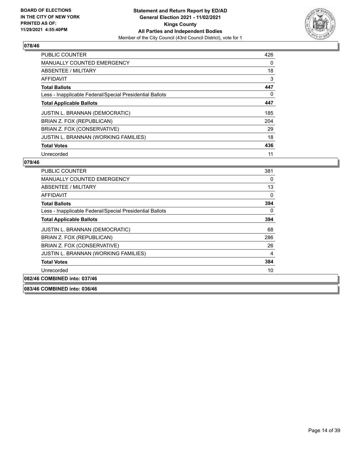

| <b>PUBLIC COUNTER</b>                                    | 426 |
|----------------------------------------------------------|-----|
| <b>MANUALLY COUNTED EMERGENCY</b>                        | 0   |
| ABSENTEE / MILITARY                                      | 18  |
| AFFIDAVIT                                                | 3   |
| <b>Total Ballots</b>                                     | 447 |
| Less - Inapplicable Federal/Special Presidential Ballots | 0   |
| <b>Total Applicable Ballots</b>                          | 447 |
| <b>JUSTIN L. BRANNAN (DEMOCRATIC)</b>                    | 185 |
| BRIAN Z. FOX (REPUBLICAN)                                | 204 |
| BRIAN Z. FOX (CONSERVATIVE)                              | 29  |
| JUSTIN L. BRANNAN (WORKING FAMILIES)                     | 18  |
| <b>Total Votes</b>                                       | 436 |
| Unrecorded                                               | 11  |

## **079/46**

| PUBLIC COUNTER                                           | 381 |
|----------------------------------------------------------|-----|
| <b>MANUALLY COUNTED EMERGENCY</b>                        | 0   |
| ABSENTEE / MILITARY                                      | 13  |
| AFFIDAVIT                                                | 0   |
| <b>Total Ballots</b>                                     | 394 |
| Less - Inapplicable Federal/Special Presidential Ballots | 0   |
| <b>Total Applicable Ballots</b>                          | 394 |
| <b>JUSTIN L. BRANNAN (DEMOCRATIC)</b>                    | 68  |
| BRIAN Z. FOX (REPUBLICAN)                                | 286 |
| BRIAN Z. FOX (CONSERVATIVE)                              | 26  |
| JUSTIN L. BRANNAN (WORKING FAMILIES)                     | 4   |
| <b>Total Votes</b>                                       | 384 |
| Unrecorded                                               | 10  |
| 082/46 COMBINED into: 037/46                             |     |
|                                                          |     |

#### **083/46 COMBINED into: 036/46**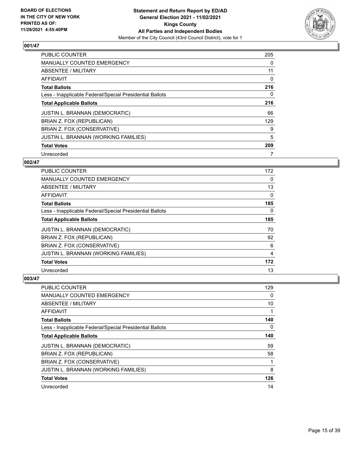

| <b>PUBLIC COUNTER</b>                                    | 205      |
|----------------------------------------------------------|----------|
| MANUALLY COUNTED EMERGENCY                               | $\Omega$ |
| ABSENTEE / MILITARY                                      | 11       |
| AFFIDAVIT                                                | 0        |
| <b>Total Ballots</b>                                     | 216      |
| Less - Inapplicable Federal/Special Presidential Ballots | $\Omega$ |
| <b>Total Applicable Ballots</b>                          | 216      |
| <b>JUSTIN L. BRANNAN (DEMOCRATIC)</b>                    | 66       |
| BRIAN Z. FOX (REPUBLICAN)                                | 129      |
| BRIAN Z. FOX (CONSERVATIVE)                              | 9        |
| <b>JUSTIN L. BRANNAN (WORKING FAMILIES)</b>              | 5        |
| <b>Total Votes</b>                                       | 209      |
| Unrecorded                                               | 7        |

#### **002/47**

| PUBLIC COUNTER                                           | 172      |
|----------------------------------------------------------|----------|
| MANUALLY COUNTED EMERGENCY                               | $\Omega$ |
| ABSENTEE / MILITARY                                      | 13       |
| AFFIDAVIT                                                | 0        |
| <b>Total Ballots</b>                                     | 185      |
| Less - Inapplicable Federal/Special Presidential Ballots | 0        |
| <b>Total Applicable Ballots</b>                          | 185      |
| <b>JUSTIN L. BRANNAN (DEMOCRATIC)</b>                    | 70       |
| BRIAN Z. FOX (REPUBLICAN)                                | 92       |
| BRIAN Z. FOX (CONSERVATIVE)                              | 6        |
| <b>JUSTIN L. BRANNAN (WORKING FAMILIES)</b>              | 4        |
| <b>Total Votes</b>                                       | 172      |
| Unrecorded                                               | 13       |

| <b>PUBLIC COUNTER</b>                                    | 129 |
|----------------------------------------------------------|-----|
| MANUALLY COUNTED EMERGENCY                               | 0   |
| ABSENTEE / MILITARY                                      | 10  |
| AFFIDAVIT                                                | 1   |
| <b>Total Ballots</b>                                     | 140 |
| Less - Inapplicable Federal/Special Presidential Ballots | 0   |
| <b>Total Applicable Ballots</b>                          | 140 |
| <b>JUSTIN L. BRANNAN (DEMOCRATIC)</b>                    | 59  |
| BRIAN Z. FOX (REPUBLICAN)                                | 58  |
| BRIAN Z. FOX (CONSERVATIVE)                              | 1   |
| JUSTIN L. BRANNAN (WORKING FAMILIES)                     | 8   |
| <b>Total Votes</b>                                       | 126 |
| Unrecorded                                               | 14  |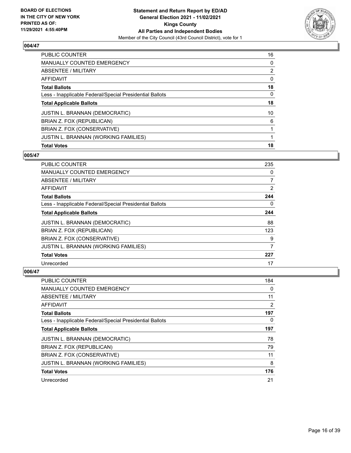

| PUBLIC COUNTER                                           | 16             |
|----------------------------------------------------------|----------------|
| <b>MANUALLY COUNTED EMERGENCY</b>                        | 0              |
| ABSENTEE / MILITARY                                      | $\overline{2}$ |
| AFFIDAVIT                                                | $\Omega$       |
| <b>Total Ballots</b>                                     | 18             |
| Less - Inapplicable Federal/Special Presidential Ballots | $\Omega$       |
| <b>Total Applicable Ballots</b>                          | 18             |
| <b>JUSTIN L. BRANNAN (DEMOCRATIC)</b>                    | 10             |
| BRIAN Z. FOX (REPUBLICAN)                                | 6              |
| BRIAN Z. FOX (CONSERVATIVE)                              |                |
| JUSTIN L. BRANNAN (WORKING FAMILIES)                     |                |
| <b>Total Votes</b>                                       | 18             |

# **005/47**

| <b>PUBLIC COUNTER</b>                                    | 235            |
|----------------------------------------------------------|----------------|
| <b>MANUALLY COUNTED EMERGENCY</b>                        | $\Omega$       |
| ABSENTEE / MILITARY                                      | $\overline{7}$ |
| AFFIDAVIT                                                | 2              |
| <b>Total Ballots</b>                                     | 244            |
| Less - Inapplicable Federal/Special Presidential Ballots | 0              |
| <b>Total Applicable Ballots</b>                          | 244            |
| JUSTIN L. BRANNAN (DEMOCRATIC)                           | 88             |
| BRIAN Z. FOX (REPUBLICAN)                                | 123            |
| BRIAN Z. FOX (CONSERVATIVE)                              | 9              |
| <b>JUSTIN L. BRANNAN (WORKING FAMILIES)</b>              | 7              |
| <b>Total Votes</b>                                       | 227            |
| Unrecorded                                               | 17             |

| <b>PUBLIC COUNTER</b>                                    | 184 |
|----------------------------------------------------------|-----|
| MANUALLY COUNTED EMERGENCY                               | 0   |
| ABSENTEE / MILITARY                                      | 11  |
| AFFIDAVIT                                                | 2   |
| <b>Total Ballots</b>                                     | 197 |
| Less - Inapplicable Federal/Special Presidential Ballots | 0   |
| <b>Total Applicable Ballots</b>                          | 197 |
| <b>JUSTIN L. BRANNAN (DEMOCRATIC)</b>                    | 78  |
| BRIAN Z. FOX (REPUBLICAN)                                | 79  |
| BRIAN Z. FOX (CONSERVATIVE)                              | 11  |
| JUSTIN L. BRANNAN (WORKING FAMILIES)                     | 8   |
| <b>Total Votes</b>                                       | 176 |
| Unrecorded                                               | 21  |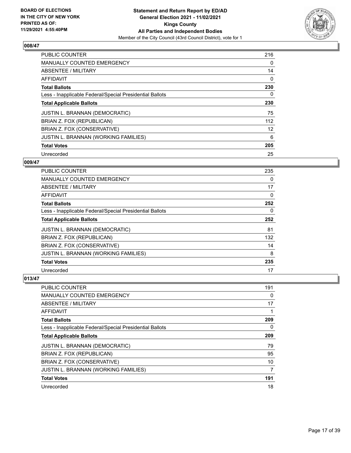

| <b>PUBLIC COUNTER</b>                                    | 216 |
|----------------------------------------------------------|-----|
| <b>MANUALLY COUNTED EMERGENCY</b>                        | 0   |
| ABSENTEE / MILITARY                                      | 14  |
| <b>AFFIDAVIT</b>                                         | 0   |
| <b>Total Ballots</b>                                     | 230 |
| Less - Inapplicable Federal/Special Presidential Ballots | 0   |
| <b>Total Applicable Ballots</b>                          | 230 |
| <b>JUSTIN L. BRANNAN (DEMOCRATIC)</b>                    | 75  |
| BRIAN Z. FOX (REPUBLICAN)                                | 112 |
| BRIAN Z. FOX (CONSERVATIVE)                              | 12  |
| JUSTIN L. BRANNAN (WORKING FAMILIES)                     | 6   |
| <b>Total Votes</b>                                       | 205 |
| Unrecorded                                               | 25  |

## **009/47**

| PUBLIC COUNTER                                           | 235      |
|----------------------------------------------------------|----------|
| MANUALLY COUNTED EMERGENCY                               | $\Omega$ |
| ABSENTEE / MILITARY                                      | 17       |
| AFFIDAVIT                                                | 0        |
| <b>Total Ballots</b>                                     | 252      |
| Less - Inapplicable Federal/Special Presidential Ballots | 0        |
| <b>Total Applicable Ballots</b>                          | 252      |
| <b>JUSTIN L. BRANNAN (DEMOCRATIC)</b>                    | 81       |
| BRIAN Z. FOX (REPUBLICAN)                                | 132      |
| BRIAN Z. FOX (CONSERVATIVE)                              | 14       |
| <b>JUSTIN L. BRANNAN (WORKING FAMILIES)</b>              | 8        |
| <b>Total Votes</b>                                       | 235      |
| Unrecorded                                               | 17       |

| PUBLIC COUNTER                                           | 191 |
|----------------------------------------------------------|-----|
| <b>MANUALLY COUNTED EMERGENCY</b>                        | 0   |
| ABSENTEE / MILITARY                                      | 17  |
| AFFIDAVIT                                                | 1   |
| <b>Total Ballots</b>                                     | 209 |
| Less - Inapplicable Federal/Special Presidential Ballots | 0   |
| <b>Total Applicable Ballots</b>                          | 209 |
| <b>JUSTIN L. BRANNAN (DEMOCRATIC)</b>                    | 79  |
| BRIAN Z. FOX (REPUBLICAN)                                | 95  |
| BRIAN Z. FOX (CONSERVATIVE)                              | 10  |
| <b>JUSTIN L. BRANNAN (WORKING FAMILIES)</b>              | 7   |
| <b>Total Votes</b>                                       | 191 |
| Unrecorded                                               | 18  |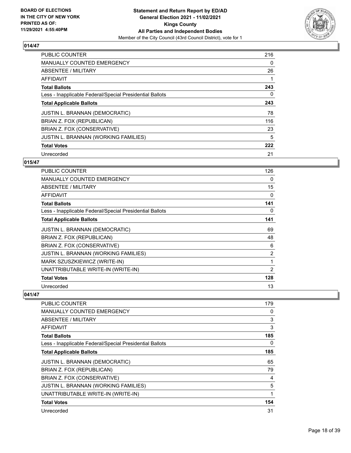

| <b>PUBLIC COUNTER</b>                                    | 216 |
|----------------------------------------------------------|-----|
| <b>MANUALLY COUNTED EMERGENCY</b>                        | 0   |
| ABSENTEE / MILITARY                                      | 26  |
| <b>AFFIDAVIT</b>                                         |     |
| <b>Total Ballots</b>                                     | 243 |
| Less - Inapplicable Federal/Special Presidential Ballots | 0   |
| <b>Total Applicable Ballots</b>                          | 243 |
| <b>JUSTIN L. BRANNAN (DEMOCRATIC)</b>                    | 78  |
| BRIAN Z. FOX (REPUBLICAN)                                | 116 |
| BRIAN Z. FOX (CONSERVATIVE)                              | 23  |
| JUSTIN L. BRANNAN (WORKING FAMILIES)                     | 5   |
| <b>Total Votes</b>                                       | 222 |
| Unrecorded                                               | 21  |

# **015/47**

| PUBLIC COUNTER                                           | 126 |
|----------------------------------------------------------|-----|
|                                                          |     |
| <b>MANUALLY COUNTED EMERGENCY</b>                        | 0   |
| <b>ABSENTEE / MILITARY</b>                               | 15  |
| <b>AFFIDAVIT</b>                                         | 0   |
| <b>Total Ballots</b>                                     | 141 |
| Less - Inapplicable Federal/Special Presidential Ballots | 0   |
| <b>Total Applicable Ballots</b>                          | 141 |
| JUSTIN L. BRANNAN (DEMOCRATIC)                           | 69  |
| BRIAN Z. FOX (REPUBLICAN)                                | 48  |
| BRIAN Z. FOX (CONSERVATIVE)                              | 6   |
| <b>JUSTIN L. BRANNAN (WORKING FAMILIES)</b>              | 2   |
| MARK SZUSZKIEWICZ (WRITE-IN)                             | 1   |
| UNATTRIBUTABLE WRITE-IN (WRITE-IN)                       | 2   |
| <b>Total Votes</b>                                       | 128 |
| Unrecorded                                               | 13  |

| PUBLIC COUNTER                                           | 179 |
|----------------------------------------------------------|-----|
| <b>MANUALLY COUNTED EMERGENCY</b>                        | 0   |
| <b>ABSENTEE / MILITARY</b>                               | 3   |
| <b>AFFIDAVIT</b>                                         | 3   |
| <b>Total Ballots</b>                                     | 185 |
| Less - Inapplicable Federal/Special Presidential Ballots | 0   |
| <b>Total Applicable Ballots</b>                          | 185 |
| JUSTIN L. BRANNAN (DEMOCRATIC)                           | 65  |
| BRIAN Z. FOX (REPUBLICAN)                                | 79  |
| BRIAN Z. FOX (CONSERVATIVE)                              | 4   |
| JUSTIN L. BRANNAN (WORKING FAMILIES)                     | 5   |
| UNATTRIBUTABLE WRITE-IN (WRITE-IN)                       |     |
| <b>Total Votes</b>                                       | 154 |
| Unrecorded                                               | 31  |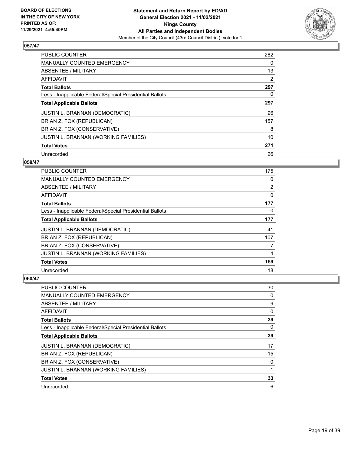

| <b>PUBLIC COUNTER</b>                                    | 282 |
|----------------------------------------------------------|-----|
| MANUALLY COUNTED EMERGENCY                               | 0   |
| ABSENTEE / MILITARY                                      | 13  |
| AFFIDAVIT                                                | 2   |
| <b>Total Ballots</b>                                     | 297 |
| Less - Inapplicable Federal/Special Presidential Ballots | 0   |
| <b>Total Applicable Ballots</b>                          | 297 |
| <b>JUSTIN L. BRANNAN (DEMOCRATIC)</b>                    | 96  |
| BRIAN Z. FOX (REPUBLICAN)                                | 157 |
| BRIAN Z. FOX (CONSERVATIVE)                              | 8   |
| <b>JUSTIN L. BRANNAN (WORKING FAMILIES)</b>              | 10  |
| <b>Total Votes</b>                                       | 271 |
| Unrecorded                                               | 26  |

#### **058/47**

| <b>PUBLIC COUNTER</b>                                    | 175            |
|----------------------------------------------------------|----------------|
| MANUALLY COUNTED EMERGENCY                               | 0              |
| ABSENTEE / MILITARY                                      | $\overline{2}$ |
| AFFIDAVIT                                                | 0              |
| <b>Total Ballots</b>                                     | 177            |
| Less - Inapplicable Federal/Special Presidential Ballots | 0              |
| <b>Total Applicable Ballots</b>                          | 177            |
| <b>JUSTIN L. BRANNAN (DEMOCRATIC)</b>                    | 41             |
| BRIAN Z. FOX (REPUBLICAN)                                | 107            |
| BRIAN Z. FOX (CONSERVATIVE)                              | 7              |
| JUSTIN L. BRANNAN (WORKING FAMILIES)                     | 4              |
| <b>Total Votes</b>                                       | 159            |
| Unrecorded                                               | 18             |

| <b>PUBLIC COUNTER</b>                                    | 30       |
|----------------------------------------------------------|----------|
| <b>MANUALLY COUNTED EMERGENCY</b>                        | 0        |
| ABSENTEE / MILITARY                                      | 9        |
| AFFIDAVIT                                                | 0        |
| <b>Total Ballots</b>                                     | 39       |
| Less - Inapplicable Federal/Special Presidential Ballots | $\Omega$ |
| <b>Total Applicable Ballots</b>                          | 39       |
| <b>JUSTIN L. BRANNAN (DEMOCRATIC)</b>                    | 17       |
| BRIAN Z. FOX (REPUBLICAN)                                | 15       |
| BRIAN Z. FOX (CONSERVATIVE)                              | 0        |
| JUSTIN L. BRANNAN (WORKING FAMILIES)                     | 1        |
| <b>Total Votes</b>                                       | 33       |
| Unrecorded                                               | 6        |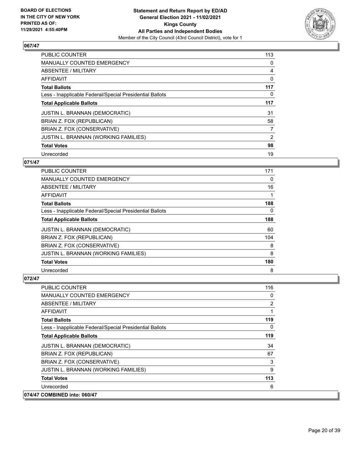

| <b>PUBLIC COUNTER</b>                                    | 113 |
|----------------------------------------------------------|-----|
| MANUALLY COUNTED EMERGENCY                               | 0   |
| ABSENTEE / MILITARY                                      | 4   |
| AFFIDAVIT                                                | 0   |
| <b>Total Ballots</b>                                     | 117 |
| Less - Inapplicable Federal/Special Presidential Ballots | 0   |
| <b>Total Applicable Ballots</b>                          | 117 |
| <b>JUSTIN L. BRANNAN (DEMOCRATIC)</b>                    | 31  |
| BRIAN Z. FOX (REPUBLICAN)                                | 58  |
| BRIAN Z. FOX (CONSERVATIVE)                              | 7   |
| <b>JUSTIN L. BRANNAN (WORKING FAMILIES)</b>              | 2   |
| <b>Total Votes</b>                                       | 98  |
| Unrecorded                                               | 19  |

## **071/47**

| <b>PUBLIC COUNTER</b>                                    | 171 |
|----------------------------------------------------------|-----|
| <b>MANUALLY COUNTED EMERGENCY</b>                        | 0   |
| ABSENTEE / MILITARY                                      | 16  |
| AFFIDAVIT                                                |     |
| <b>Total Ballots</b>                                     | 188 |
| Less - Inapplicable Federal/Special Presidential Ballots | 0   |
| <b>Total Applicable Ballots</b>                          | 188 |
| <b>JUSTIN L. BRANNAN (DEMOCRATIC)</b>                    | 60  |
| BRIAN Z. FOX (REPUBLICAN)                                | 104 |
| BRIAN Z. FOX (CONSERVATIVE)                              | 8   |
| <b>JUSTIN L. BRANNAN (WORKING FAMILIES)</b>              | 8   |
| <b>Total Votes</b>                                       | 180 |
| Unrecorded                                               | 8   |

| <b>PUBLIC COUNTER</b>                                    | 116            |
|----------------------------------------------------------|----------------|
| MANUALLY COUNTED EMERGENCY                               | 0              |
| ABSENTEE / MILITARY                                      | $\overline{2}$ |
| AFFIDAVIT                                                | 1              |
| <b>Total Ballots</b>                                     | 119            |
| Less - Inapplicable Federal/Special Presidential Ballots | $\Omega$       |
| <b>Total Applicable Ballots</b>                          | 119            |
| <b>JUSTIN L. BRANNAN (DEMOCRATIC)</b>                    | 34             |
| BRIAN Z. FOX (REPUBLICAN)                                | 67             |
| BRIAN Z. FOX (CONSERVATIVE)                              | 3              |
| JUSTIN L. BRANNAN (WORKING FAMILIES)                     | 9              |
| <b>Total Votes</b>                                       | 113            |
| Unrecorded                                               | 6              |
| 074/47 COMBINED into: 060/47                             |                |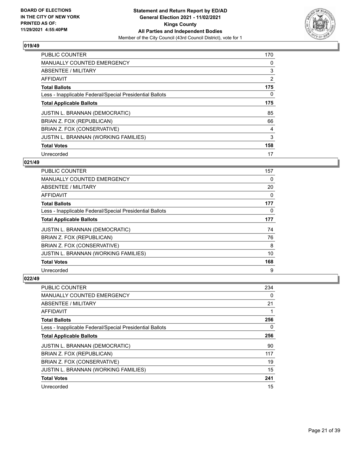

| <b>PUBLIC COUNTER</b>                                    | 170            |
|----------------------------------------------------------|----------------|
| <b>MANUALLY COUNTED EMERGENCY</b>                        | 0              |
| ABSENTEE / MILITARY                                      | 3              |
| AFFIDAVIT                                                | $\overline{2}$ |
| <b>Total Ballots</b>                                     | 175            |
| Less - Inapplicable Federal/Special Presidential Ballots | 0              |
| <b>Total Applicable Ballots</b>                          | 175            |
| <b>JUSTIN L. BRANNAN (DEMOCRATIC)</b>                    | 85             |
| BRIAN Z. FOX (REPUBLICAN)                                | 66             |
| BRIAN Z. FOX (CONSERVATIVE)                              | 4              |
| <b>JUSTIN L. BRANNAN (WORKING FAMILIES)</b>              | 3              |
| <b>Total Votes</b>                                       | 158            |
| Unrecorded                                               | 17             |

## **021/49**

| PUBLIC COUNTER                                           | 157      |
|----------------------------------------------------------|----------|
| <b>MANUALLY COUNTED EMERGENCY</b>                        | 0        |
| ABSENTEE / MILITARY                                      | 20       |
| AFFIDAVIT                                                | 0        |
| <b>Total Ballots</b>                                     | 177      |
| Less - Inapplicable Federal/Special Presidential Ballots | $\Omega$ |
| <b>Total Applicable Ballots</b>                          | 177      |
| <b>JUSTIN L. BRANNAN (DEMOCRATIC)</b>                    | 74       |
| BRIAN Z. FOX (REPUBLICAN)                                | 76       |
| BRIAN Z. FOX (CONSERVATIVE)                              | 8        |
| JUSTIN L. BRANNAN (WORKING FAMILIES)                     | 10       |
| <b>Total Votes</b>                                       | 168      |
| Unrecorded                                               | 9        |

| <b>PUBLIC COUNTER</b>                                    | 234 |
|----------------------------------------------------------|-----|
| <b>MANUALLY COUNTED EMERGENCY</b>                        | 0   |
| ABSENTEE / MILITARY                                      | 21  |
| AFFIDAVIT                                                | 1   |
| <b>Total Ballots</b>                                     | 256 |
| Less - Inapplicable Federal/Special Presidential Ballots | 0   |
| <b>Total Applicable Ballots</b>                          | 256 |
| <b>JUSTIN L. BRANNAN (DEMOCRATIC)</b>                    | 90  |
| BRIAN Z. FOX (REPUBLICAN)                                | 117 |
| BRIAN Z. FOX (CONSERVATIVE)                              | 19  |
| JUSTIN L. BRANNAN (WORKING FAMILIES)                     | 15  |
| <b>Total Votes</b>                                       | 241 |
| Unrecorded                                               | 15  |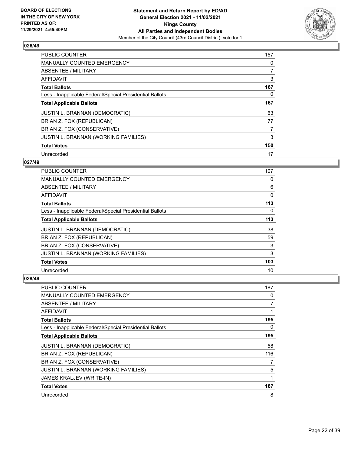

| <b>PUBLIC COUNTER</b>                                    | 157            |
|----------------------------------------------------------|----------------|
| <b>MANUALLY COUNTED EMERGENCY</b>                        | 0              |
| ABSENTEE / MILITARY                                      | $\overline{7}$ |
| AFFIDAVIT                                                | 3              |
| <b>Total Ballots</b>                                     | 167            |
| Less - Inapplicable Federal/Special Presidential Ballots | 0              |
| <b>Total Applicable Ballots</b>                          | 167            |
| <b>JUSTIN L. BRANNAN (DEMOCRATIC)</b>                    | 63             |
| BRIAN Z. FOX (REPUBLICAN)                                | 77             |
| BRIAN Z. FOX (CONSERVATIVE)                              | 7              |
| <b>JUSTIN L. BRANNAN (WORKING FAMILIES)</b>              | 3              |
| <b>Total Votes</b>                                       | 150            |
| Unrecorded                                               | 17             |

## **027/49**

| <b>PUBLIC COUNTER</b>                                    | 107      |
|----------------------------------------------------------|----------|
| MANUALLY COUNTED EMERGENCY                               | 0        |
| ABSENTEE / MILITARY                                      | 6        |
| AFFIDAVIT                                                | 0        |
| <b>Total Ballots</b>                                     | 113      |
| Less - Inapplicable Federal/Special Presidential Ballots | $\Omega$ |
| <b>Total Applicable Ballots</b>                          | 113      |
| <b>JUSTIN L. BRANNAN (DEMOCRATIC)</b>                    | 38       |
| BRIAN Z. FOX (REPUBLICAN)                                | 59       |
| BRIAN Z. FOX (CONSERVATIVE)                              | 3        |
| JUSTIN L. BRANNAN (WORKING FAMILIES)                     | 3        |
| <b>Total Votes</b>                                       | 103      |
| Unrecorded                                               | 10       |

| PUBLIC COUNTER                                           | 187      |
|----------------------------------------------------------|----------|
| MANUALLY COUNTED EMERGENCY                               | 0        |
| ABSENTEE / MILITARY                                      | 7        |
| AFFIDAVIT                                                | 1        |
| <b>Total Ballots</b>                                     | 195      |
| Less - Inapplicable Federal/Special Presidential Ballots | $\Omega$ |
| <b>Total Applicable Ballots</b>                          | 195      |
| JUSTIN L. BRANNAN (DEMOCRATIC)                           | 58       |
| BRIAN Z. FOX (REPUBLICAN)                                | 116      |
| BRIAN Z. FOX (CONSERVATIVE)                              | 7        |
| JUSTIN L. BRANNAN (WORKING FAMILIES)                     | 5        |
| JAMES KRALJEV (WRITE-IN)                                 | 1        |
| <b>Total Votes</b>                                       | 187      |
| Unrecorded                                               | 8        |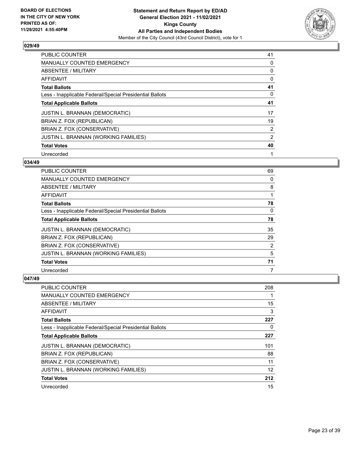

| <b>PUBLIC COUNTER</b>                                    | 41 |
|----------------------------------------------------------|----|
| <b>MANUALLY COUNTED EMERGENCY</b>                        | 0  |
| ABSENTEE / MILITARY                                      | 0  |
| AFFIDAVIT                                                | 0  |
| <b>Total Ballots</b>                                     | 41 |
| Less - Inapplicable Federal/Special Presidential Ballots | 0  |
| <b>Total Applicable Ballots</b>                          | 41 |
| <b>JUSTIN L. BRANNAN (DEMOCRATIC)</b>                    | 17 |
| BRIAN Z. FOX (REPUBLICAN)                                | 19 |
| BRIAN Z. FOX (CONSERVATIVE)                              | 2  |
| <b>JUSTIN L. BRANNAN (WORKING FAMILIES)</b>              | 2  |
| <b>Total Votes</b>                                       | 40 |
| Unrecorded                                               | 1  |

## **034/49**

| PUBLIC COUNTER                                           | 69 |
|----------------------------------------------------------|----|
| MANUALLY COUNTED EMERGENCY                               | 0  |
| ABSENTEE / MILITARY                                      | 8  |
| AFFIDAVIT                                                |    |
| <b>Total Ballots</b>                                     | 78 |
| Less - Inapplicable Federal/Special Presidential Ballots | 0  |
| <b>Total Applicable Ballots</b>                          | 78 |
| <b>JUSTIN L. BRANNAN (DEMOCRATIC)</b>                    | 35 |
| BRIAN Z. FOX (REPUBLICAN)                                | 29 |
| BRIAN Z. FOX (CONSERVATIVE)                              | 2  |
| <b>JUSTIN L. BRANNAN (WORKING FAMILIES)</b>              | 5  |
| <b>Total Votes</b>                                       | 71 |
| Unrecorded                                               | 7  |

| <b>PUBLIC COUNTER</b>                                    | 208 |
|----------------------------------------------------------|-----|
| <b>MANUALLY COUNTED EMERGENCY</b>                        |     |
| ABSENTEE / MILITARY                                      | 15  |
| AFFIDAVIT                                                | 3   |
| <b>Total Ballots</b>                                     | 227 |
| Less - Inapplicable Federal/Special Presidential Ballots | 0   |
| <b>Total Applicable Ballots</b>                          | 227 |
| <b>JUSTIN L. BRANNAN (DEMOCRATIC)</b>                    | 101 |
| BRIAN Z. FOX (REPUBLICAN)                                | 88  |
| BRIAN Z. FOX (CONSERVATIVE)                              | 11  |
| JUSTIN L. BRANNAN (WORKING FAMILIES)                     | 12  |
| <b>Total Votes</b>                                       | 212 |
| Unrecorded                                               | 15  |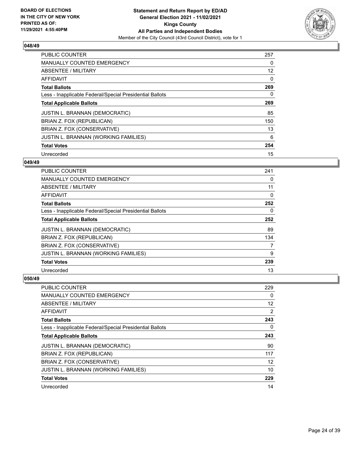

| <b>PUBLIC COUNTER</b>                                    | 257               |
|----------------------------------------------------------|-------------------|
| <b>MANUALLY COUNTED EMERGENCY</b>                        | 0                 |
| ABSENTEE / MILITARY                                      | $12 \overline{ }$ |
| AFFIDAVIT                                                | 0                 |
| <b>Total Ballots</b>                                     | 269               |
| Less - Inapplicable Federal/Special Presidential Ballots | 0                 |
| <b>Total Applicable Ballots</b>                          | 269               |
| <b>JUSTIN L. BRANNAN (DEMOCRATIC)</b>                    | 85                |
| BRIAN Z. FOX (REPUBLICAN)                                | 150               |
| BRIAN Z. FOX (CONSERVATIVE)                              | 13                |
| <b>JUSTIN L. BRANNAN (WORKING FAMILIES)</b>              | 6                 |
| <b>Total Votes</b>                                       | 254               |
| Unrecorded                                               | 15                |

## **049/49**

| <b>PUBLIC COUNTER</b>                                    | 241 |
|----------------------------------------------------------|-----|
| MANUALLY COUNTED EMERGENCY                               | 0   |
| ABSENTEE / MILITARY                                      | 11  |
| AFFIDAVIT                                                | 0   |
| <b>Total Ballots</b>                                     | 252 |
| Less - Inapplicable Federal/Special Presidential Ballots | 0   |
| <b>Total Applicable Ballots</b>                          | 252 |
| <b>JUSTIN L. BRANNAN (DEMOCRATIC)</b>                    | 89  |
| BRIAN Z. FOX (REPUBLICAN)                                | 134 |
| BRIAN Z. FOX (CONSERVATIVE)                              | 7   |
| JUSTIN L. BRANNAN (WORKING FAMILIES)                     | 9   |
| <b>Total Votes</b>                                       | 239 |
| Unrecorded                                               | 13  |

| PUBLIC COUNTER                                           | 229               |
|----------------------------------------------------------|-------------------|
| <b>MANUALLY COUNTED EMERGENCY</b>                        | 0                 |
| ABSENTEE / MILITARY                                      | $12 \overline{ }$ |
| AFFIDAVIT                                                | 2                 |
| <b>Total Ballots</b>                                     | 243               |
| Less - Inapplicable Federal/Special Presidential Ballots | 0                 |
| <b>Total Applicable Ballots</b>                          | 243               |
| <b>JUSTIN L. BRANNAN (DEMOCRATIC)</b>                    | 90                |
| BRIAN Z. FOX (REPUBLICAN)                                | 117               |
| BRIAN Z. FOX (CONSERVATIVE)                              | 12                |
| JUSTIN L. BRANNAN (WORKING FAMILIES)                     | 10                |
| <b>Total Votes</b>                                       | 229               |
| Unrecorded                                               | 14                |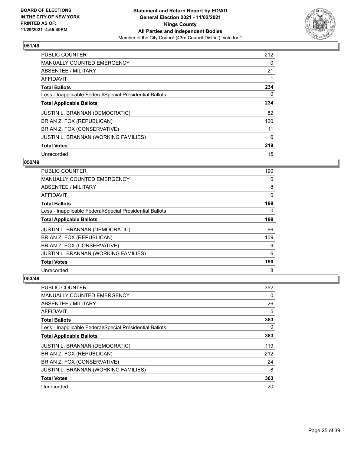

| <b>PUBLIC COUNTER</b>                                    | 212 |
|----------------------------------------------------------|-----|
| <b>MANUALLY COUNTED EMERGENCY</b>                        | 0   |
| ABSENTEE / MILITARY                                      | 21  |
| <b>AFFIDAVIT</b>                                         |     |
| <b>Total Ballots</b>                                     | 234 |
| Less - Inapplicable Federal/Special Presidential Ballots | 0   |
| <b>Total Applicable Ballots</b>                          | 234 |
| <b>JUSTIN L. BRANNAN (DEMOCRATIC)</b>                    | 82  |
| BRIAN Z. FOX (REPUBLICAN)                                | 120 |
| BRIAN Z. FOX (CONSERVATIVE)                              | 11  |
| <b>JUSTIN L. BRANNAN (WORKING FAMILIES)</b>              | 6   |
| <b>Total Votes</b>                                       | 219 |
| Unrecorded                                               | 15  |

## **052/49**

| <b>PUBLIC COUNTER</b>                                    | 190      |
|----------------------------------------------------------|----------|
| MANUALLY COUNTED EMERGENCY                               | 0        |
| ABSENTEE / MILITARY                                      | 8        |
| AFFIDAVIT                                                | $\Omega$ |
| <b>Total Ballots</b>                                     | 198      |
| Less - Inapplicable Federal/Special Presidential Ballots | $\Omega$ |
| <b>Total Applicable Ballots</b>                          | 198      |
| <b>JUSTIN L. BRANNAN (DEMOCRATIC)</b>                    | 66       |
| BRIAN Z. FOX (REPUBLICAN)                                | 109      |
| BRIAN Z. FOX (CONSERVATIVE)                              | 9        |
| JUSTIN L. BRANNAN (WORKING FAMILIES)                     | 6        |
| <b>Total Votes</b>                                       | 190      |
| Unrecorded                                               | 8        |

| <b>PUBLIC COUNTER</b>                                    | 352 |
|----------------------------------------------------------|-----|
| <b>MANUALLY COUNTED EMERGENCY</b>                        | 0   |
| ABSENTEE / MILITARY                                      | 26  |
| AFFIDAVIT                                                | 5   |
| <b>Total Ballots</b>                                     | 383 |
| Less - Inapplicable Federal/Special Presidential Ballots | 0   |
| <b>Total Applicable Ballots</b>                          | 383 |
| <b>JUSTIN L. BRANNAN (DEMOCRATIC)</b>                    | 119 |
| BRIAN Z. FOX (REPUBLICAN)                                | 212 |
| BRIAN Z. FOX (CONSERVATIVE)                              | 24  |
| JUSTIN L. BRANNAN (WORKING FAMILIES)                     | 8   |
| <b>Total Votes</b>                                       | 363 |
| Unrecorded                                               | 20  |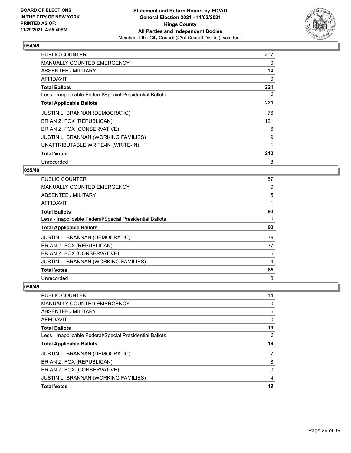

| <b>PUBLIC COUNTER</b>                                    | 207 |
|----------------------------------------------------------|-----|
| <b>MANUALLY COUNTED EMERGENCY</b>                        | 0   |
| ABSENTEE / MILITARY                                      | 14  |
| AFFIDAVIT                                                | 0   |
| <b>Total Ballots</b>                                     | 221 |
| Less - Inapplicable Federal/Special Presidential Ballots | 0   |
| <b>Total Applicable Ballots</b>                          | 221 |
| <b>JUSTIN L. BRANNAN (DEMOCRATIC)</b>                    | 76  |
| BRIAN Z. FOX (REPUBLICAN)                                | 121 |
| BRIAN Z. FOX (CONSERVATIVE)                              | 6   |
| <b>JUSTIN L. BRANNAN (WORKING FAMILIES)</b>              | 9   |
| UNATTRIBUTABLE WRITE-IN (WRITE-IN)                       |     |
| <b>Total Votes</b>                                       | 213 |
| Unrecorded                                               | 8   |

## **055/49**

| PUBLIC COUNTER                                           | 87 |
|----------------------------------------------------------|----|
| <b>MANUALLY COUNTED EMERGENCY</b>                        | 0  |
| ABSENTEE / MILITARY                                      | 5  |
| AFFIDAVIT                                                | 1  |
| <b>Total Ballots</b>                                     | 93 |
| Less - Inapplicable Federal/Special Presidential Ballots | 0  |
| <b>Total Applicable Ballots</b>                          | 93 |
| <b>JUSTIN L. BRANNAN (DEMOCRATIC)</b>                    | 39 |
| BRIAN Z. FOX (REPUBLICAN)                                | 37 |
| BRIAN Z. FOX (CONSERVATIVE)                              | 5  |
| <b>JUSTIN L. BRANNAN (WORKING FAMILIES)</b>              | 4  |
| <b>Total Votes</b>                                       | 85 |
| Unrecorded                                               | 8  |

| <b>PUBLIC COUNTER</b>                                    | 14       |
|----------------------------------------------------------|----------|
| <b>MANUALLY COUNTED EMERGENCY</b>                        | 0        |
| ABSENTEE / MILITARY                                      | 5        |
| <b>AFFIDAVIT</b>                                         | 0        |
| <b>Total Ballots</b>                                     | 19       |
| Less - Inapplicable Federal/Special Presidential Ballots | $\Omega$ |
| <b>Total Applicable Ballots</b>                          | 19       |
| JUSTIN L. BRANNAN (DEMOCRATIC)                           | 7        |
| BRIAN Z. FOX (REPUBLICAN)                                | 8        |
| BRIAN Z. FOX (CONSERVATIVE)                              | $\Omega$ |
| JUSTIN L. BRANNAN (WORKING FAMILIES)                     | 4        |
| <b>Total Votes</b>                                       | 19       |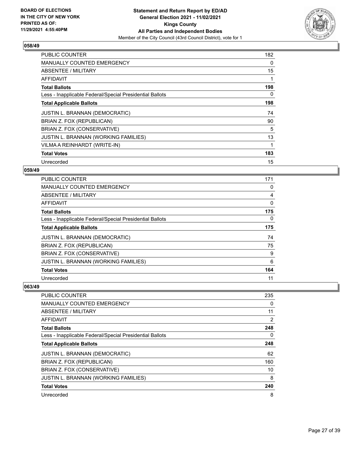

| <b>PUBLIC COUNTER</b>                                    | 182 |
|----------------------------------------------------------|-----|
| <b>MANUALLY COUNTED EMERGENCY</b>                        | 0   |
| <b>ABSENTEE / MILITARY</b>                               | 15  |
| <b>AFFIDAVIT</b>                                         |     |
| <b>Total Ballots</b>                                     | 198 |
| Less - Inapplicable Federal/Special Presidential Ballots | 0   |
| <b>Total Applicable Ballots</b>                          | 198 |
| JUSTIN L. BRANNAN (DEMOCRATIC)                           | 74  |
| BRIAN Z. FOX (REPUBLICAN)                                | 90  |
| BRIAN Z. FOX (CONSERVATIVE)                              | 5   |
| JUSTIN L. BRANNAN (WORKING FAMILIES)                     | 13  |
| VILMA A REINHARDT (WRITE-IN)                             |     |
| <b>Total Votes</b>                                       | 183 |
| Unrecorded                                               | 15  |

## **059/49**

| <b>PUBLIC COUNTER</b>                                    | 171 |
|----------------------------------------------------------|-----|
| <b>MANUALLY COUNTED EMERGENCY</b>                        | 0   |
| ABSENTEE / MILITARY                                      | 4   |
| AFFIDAVIT                                                | 0   |
| <b>Total Ballots</b>                                     | 175 |
| Less - Inapplicable Federal/Special Presidential Ballots | 0   |
| <b>Total Applicable Ballots</b>                          | 175 |
| <b>JUSTIN L. BRANNAN (DEMOCRATIC)</b>                    | 74  |
| BRIAN Z. FOX (REPUBLICAN)                                | 75  |
| BRIAN Z. FOX (CONSERVATIVE)                              | 9   |
| JUSTIN L. BRANNAN (WORKING FAMILIES)                     | 6   |
| <b>Total Votes</b>                                       | 164 |
| Unrecorded                                               | 11  |

| <b>PUBLIC COUNTER</b>                                    | 235 |
|----------------------------------------------------------|-----|
| MANUALLY COUNTED EMERGENCY                               | 0   |
| ABSENTEE / MILITARY                                      | 11  |
| AFFIDAVIT                                                | 2   |
| <b>Total Ballots</b>                                     | 248 |
| Less - Inapplicable Federal/Special Presidential Ballots | 0   |
| <b>Total Applicable Ballots</b>                          | 248 |
| <b>JUSTIN L. BRANNAN (DEMOCRATIC)</b>                    | 62  |
| BRIAN Z. FOX (REPUBLICAN)                                | 160 |
| BRIAN Z. FOX (CONSERVATIVE)                              | 10  |
| JUSTIN L. BRANNAN (WORKING FAMILIES)                     | 8   |
| <b>Total Votes</b>                                       | 240 |
| Unrecorded                                               | 8   |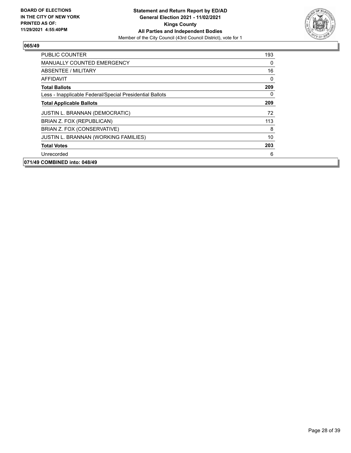

| PUBLIC COUNTER                                           | 193      |
|----------------------------------------------------------|----------|
| <b>MANUALLY COUNTED EMERGENCY</b>                        | 0        |
| ABSENTEE / MILITARY                                      | 16       |
| AFFIDAVIT                                                | 0        |
| <b>Total Ballots</b>                                     | 209      |
| Less - Inapplicable Federal/Special Presidential Ballots | $\Omega$ |
| <b>Total Applicable Ballots</b>                          | 209      |
| <b>JUSTIN L. BRANNAN (DEMOCRATIC)</b>                    | 72       |
| BRIAN Z. FOX (REPUBLICAN)                                | 113      |
| BRIAN Z. FOX (CONSERVATIVE)                              | 8        |
| <b>JUSTIN L. BRANNAN (WORKING FAMILIES)</b>              | 10       |
| <b>Total Votes</b>                                       | 203      |
| Unrecorded                                               | 6        |
| 071/49 COMBINED into: 048/49                             |          |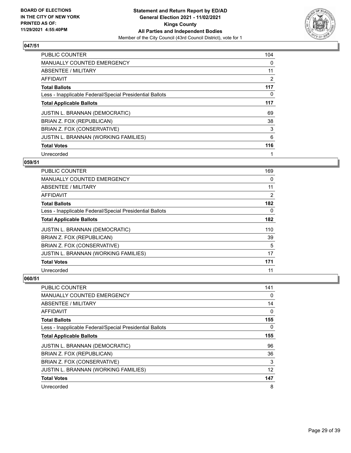

| <b>PUBLIC COUNTER</b>                                    | 104            |
|----------------------------------------------------------|----------------|
| <b>MANUALLY COUNTED EMERGENCY</b>                        | 0              |
| ABSENTEE / MILITARY                                      | 11             |
| AFFIDAVIT                                                | $\overline{2}$ |
| <b>Total Ballots</b>                                     | 117            |
| Less - Inapplicable Federal/Special Presidential Ballots | 0              |
| <b>Total Applicable Ballots</b>                          | 117            |
| <b>JUSTIN L. BRANNAN (DEMOCRATIC)</b>                    | 69             |
| BRIAN Z. FOX (REPUBLICAN)                                | 38             |
| BRIAN Z. FOX (CONSERVATIVE)                              | 3              |
| <b>JUSTIN L. BRANNAN (WORKING FAMILIES)</b>              | 6              |
| <b>Total Votes</b>                                       | 116            |
| Unrecorded                                               |                |

## **059/51**

| <b>PUBLIC COUNTER</b>                                    | 169 |
|----------------------------------------------------------|-----|
| MANUALLY COUNTED EMERGENCY                               | 0   |
| ABSENTEE / MILITARY                                      | 11  |
| AFFIDAVIT                                                | 2   |
| <b>Total Ballots</b>                                     | 182 |
| Less - Inapplicable Federal/Special Presidential Ballots | 0   |
| <b>Total Applicable Ballots</b>                          | 182 |
| <b>JUSTIN L. BRANNAN (DEMOCRATIC)</b>                    | 110 |
| BRIAN Z. FOX (REPUBLICAN)                                | 39  |
| BRIAN Z. FOX (CONSERVATIVE)                              | 5   |
| JUSTIN L. BRANNAN (WORKING FAMILIES)                     | 17  |
| <b>Total Votes</b>                                       | 171 |
| Unrecorded                                               | 11  |

| <b>PUBLIC COUNTER</b>                                    | 141      |
|----------------------------------------------------------|----------|
| <b>MANUALLY COUNTED EMERGENCY</b>                        | 0        |
| ABSENTEE / MILITARY                                      | 14       |
| AFFIDAVIT                                                | 0        |
| <b>Total Ballots</b>                                     | 155      |
| Less - Inapplicable Federal/Special Presidential Ballots | $\Omega$ |
| <b>Total Applicable Ballots</b>                          | 155      |
| JUSTIN L. BRANNAN (DEMOCRATIC)                           | 96       |
| BRIAN Z. FOX (REPUBLICAN)                                | 36       |
| BRIAN Z. FOX (CONSERVATIVE)                              | 3        |
| <b>JUSTIN L. BRANNAN (WORKING FAMILIES)</b>              | 12       |
| <b>Total Votes</b>                                       | 147      |
| Unrecorded                                               | 8        |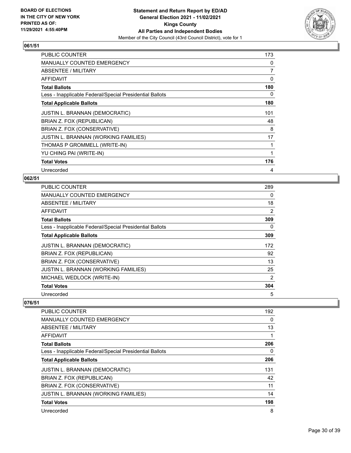

| <b>PUBLIC COUNTER</b>                                    | 173 |
|----------------------------------------------------------|-----|
| <b>MANUALLY COUNTED EMERGENCY</b>                        | 0   |
| ABSENTEE / MILITARY                                      | 7   |
| AFFIDAVIT                                                | 0   |
| <b>Total Ballots</b>                                     | 180 |
| Less - Inapplicable Federal/Special Presidential Ballots | 0   |
| <b>Total Applicable Ballots</b>                          | 180 |
| JUSTIN L. BRANNAN (DEMOCRATIC)                           | 101 |
| BRIAN Z. FOX (REPUBLICAN)                                | 48  |
| BRIAN Z. FOX (CONSERVATIVE)                              | 8   |
| JUSTIN L. BRANNAN (WORKING FAMILIES)                     | 17  |
| THOMAS P GROMMELL (WRITE-IN)                             | 1   |
| YU CHING PAI (WRITE-IN)                                  |     |
| <b>Total Votes</b>                                       | 176 |
| Unrecorded                                               | 4   |

### **062/51**

| <b>PUBLIC COUNTER</b>                                    | 289      |
|----------------------------------------------------------|----------|
| <b>MANUALLY COUNTED EMERGENCY</b>                        | $\Omega$ |
| ABSENTEE / MILITARY                                      | 18       |
| AFFIDAVIT                                                | 2        |
| <b>Total Ballots</b>                                     | 309      |
| Less - Inapplicable Federal/Special Presidential Ballots | 0        |
| <b>Total Applicable Ballots</b>                          | 309      |
| <b>JUSTIN L. BRANNAN (DEMOCRATIC)</b>                    | 172      |
| BRIAN Z. FOX (REPUBLICAN)                                | 92       |
| BRIAN Z. FOX (CONSERVATIVE)                              | 13       |
| <b>JUSTIN L. BRANNAN (WORKING FAMILIES)</b>              | 25       |
| MICHAEL WEDLOCK (WRITE-IN)                               | 2        |
| <b>Total Votes</b>                                       | 304      |
| Unrecorded                                               | 5        |

| PUBLIC COUNTER                                           | 192 |
|----------------------------------------------------------|-----|
| <b>MANUALLY COUNTED EMERGENCY</b>                        | 0   |
| ABSENTEE / MILITARY                                      | 13  |
| <b>AFFIDAVIT</b>                                         |     |
| <b>Total Ballots</b>                                     | 206 |
| Less - Inapplicable Federal/Special Presidential Ballots | 0   |
| <b>Total Applicable Ballots</b>                          | 206 |
| <b>JUSTIN L. BRANNAN (DEMOCRATIC)</b>                    | 131 |
| BRIAN Z. FOX (REPUBLICAN)                                | 42  |
| BRIAN Z. FOX (CONSERVATIVE)                              | 11  |
| JUSTIN L. BRANNAN (WORKING FAMILIES)                     | 14  |
| <b>Total Votes</b>                                       | 198 |
| Unrecorded                                               | 8   |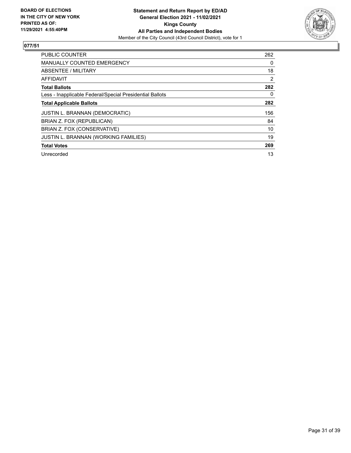

| <b>PUBLIC COUNTER</b>                                    | 262            |
|----------------------------------------------------------|----------------|
| <b>MANUALLY COUNTED EMERGENCY</b>                        | 0              |
| ABSENTEE / MILITARY                                      | 18             |
| AFFIDAVIT                                                | $\overline{2}$ |
| <b>Total Ballots</b>                                     | 282            |
| Less - Inapplicable Federal/Special Presidential Ballots | $\Omega$       |
| <b>Total Applicable Ballots</b>                          | 282            |
| <b>JUSTIN L. BRANNAN (DEMOCRATIC)</b>                    | 156            |
| BRIAN Z. FOX (REPUBLICAN)                                | 84             |
| BRIAN Z. FOX (CONSERVATIVE)                              | 10             |
| JUSTIN L. BRANNAN (WORKING FAMILIES)                     | 19             |
| <b>Total Votes</b>                                       | 269            |
| Unrecorded                                               | 13             |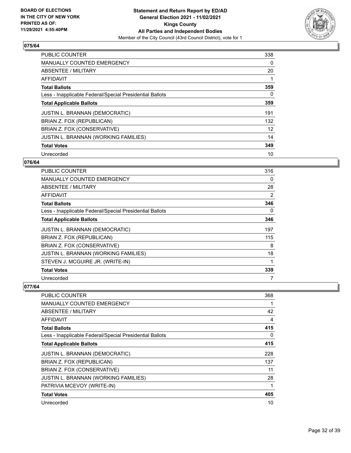

| <b>PUBLIC COUNTER</b>                                    | 338 |
|----------------------------------------------------------|-----|
| <b>MANUALLY COUNTED EMERGENCY</b>                        | 0   |
| ABSENTEE / MILITARY                                      | 20  |
| <b>AFFIDAVIT</b>                                         |     |
| <b>Total Ballots</b>                                     | 359 |
| Less - Inapplicable Federal/Special Presidential Ballots | 0   |
| <b>Total Applicable Ballots</b>                          | 359 |
| <b>JUSTIN L. BRANNAN (DEMOCRATIC)</b>                    | 191 |
| BRIAN Z. FOX (REPUBLICAN)                                | 132 |
| BRIAN Z. FOX (CONSERVATIVE)                              | 12  |
| JUSTIN L. BRANNAN (WORKING FAMILIES)                     | 14  |
| <b>Total Votes</b>                                       | 349 |
| Unrecorded                                               | 10  |

## **076/64**

| <b>PUBLIC COUNTER</b>                                    | 316 |
|----------------------------------------------------------|-----|
| MANUALLY COUNTED EMERGENCY                               | 0   |
| ABSENTEE / MILITARY                                      | 28  |
| <b>AFFIDAVIT</b>                                         | 2   |
| <b>Total Ballots</b>                                     | 346 |
| Less - Inapplicable Federal/Special Presidential Ballots | 0   |
| <b>Total Applicable Ballots</b>                          | 346 |
| <b>JUSTIN L. BRANNAN (DEMOCRATIC)</b>                    | 197 |
| BRIAN Z. FOX (REPUBLICAN)                                | 115 |
| BRIAN Z. FOX (CONSERVATIVE)                              | 8   |
| <b>JUSTIN L. BRANNAN (WORKING FAMILIES)</b>              | 18  |
| STEVEN J. MCGUIRE JR. (WRITE-IN)                         | 1   |
| <b>Total Votes</b>                                       | 339 |
| Unrecorded                                               | 7   |

| <b>PUBLIC COUNTER</b>                                    | 368 |
|----------------------------------------------------------|-----|
| <b>MANUALLY COUNTED EMERGENCY</b>                        |     |
| ABSENTEE / MILITARY                                      | 42  |
| AFFIDAVIT                                                | 4   |
| <b>Total Ballots</b>                                     | 415 |
| Less - Inapplicable Federal/Special Presidential Ballots | 0   |
| <b>Total Applicable Ballots</b>                          | 415 |
| JUSTIN L. BRANNAN (DEMOCRATIC)                           | 228 |
| BRIAN Z. FOX (REPUBLICAN)                                | 137 |
| BRIAN Z. FOX (CONSERVATIVE)                              | 11  |
| JUSTIN L. BRANNAN (WORKING FAMILIES)                     | 28  |
| PATRIVIA MCEVOY (WRITE-IN)                               |     |
| <b>Total Votes</b>                                       | 405 |
| Unrecorded                                               | 10  |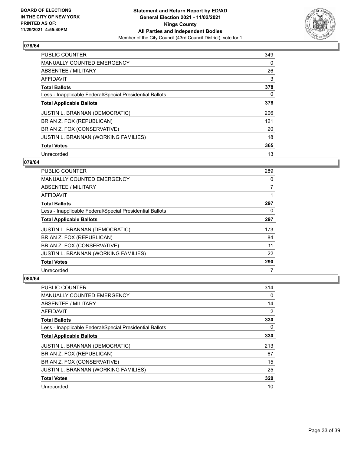

| <b>PUBLIC COUNTER</b>                                    | 349 |
|----------------------------------------------------------|-----|
| <b>MANUALLY COUNTED EMERGENCY</b>                        | 0   |
| ABSENTEE / MILITARY                                      | 26  |
| AFFIDAVIT                                                | 3   |
| <b>Total Ballots</b>                                     | 378 |
| Less - Inapplicable Federal/Special Presidential Ballots | 0   |
| <b>Total Applicable Ballots</b>                          | 378 |
| <b>JUSTIN L. BRANNAN (DEMOCRATIC)</b>                    | 206 |
| BRIAN Z. FOX (REPUBLICAN)                                | 121 |
| BRIAN Z. FOX (CONSERVATIVE)                              | 20  |
| JUSTIN L. BRANNAN (WORKING FAMILIES)                     | 18  |
| <b>Total Votes</b>                                       | 365 |
| Unrecorded                                               | 13  |

## **079/64**

| PUBLIC COUNTER                                           | 289            |
|----------------------------------------------------------|----------------|
| MANUALLY COUNTED EMERGENCY                               | 0              |
| ABSENTEE / MILITARY                                      | $\overline{7}$ |
| AFFIDAVIT                                                |                |
| <b>Total Ballots</b>                                     | 297            |
| Less - Inapplicable Federal/Special Presidential Ballots | 0              |
| <b>Total Applicable Ballots</b>                          | 297            |
| <b>JUSTIN L. BRANNAN (DEMOCRATIC)</b>                    | 173            |
| BRIAN Z. FOX (REPUBLICAN)                                | 84             |
| BRIAN Z. FOX (CONSERVATIVE)                              | 11             |
| JUSTIN L. BRANNAN (WORKING FAMILIES)                     | 22             |
| <b>Total Votes</b>                                       | 290            |
| Unrecorded                                               | 7              |

| PUBLIC COUNTER                                           | 314 |
|----------------------------------------------------------|-----|
| <b>MANUALLY COUNTED EMERGENCY</b>                        | 0   |
| ABSENTEE / MILITARY                                      | 14  |
| AFFIDAVIT                                                | 2   |
| <b>Total Ballots</b>                                     | 330 |
| Less - Inapplicable Federal/Special Presidential Ballots | 0   |
| <b>Total Applicable Ballots</b>                          | 330 |
| <b>JUSTIN L. BRANNAN (DEMOCRATIC)</b>                    | 213 |
| BRIAN Z. FOX (REPUBLICAN)                                | 67  |
| BRIAN Z. FOX (CONSERVATIVE)                              | 15  |
| JUSTIN L. BRANNAN (WORKING FAMILIES)                     | 25  |
| <b>Total Votes</b>                                       | 320 |
| Unrecorded                                               | 10  |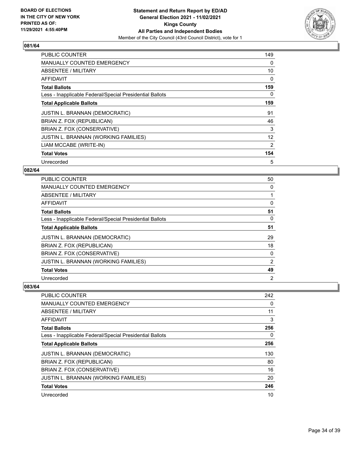

| <b>PUBLIC COUNTER</b>                                    | 149 |
|----------------------------------------------------------|-----|
| <b>MANUALLY COUNTED EMERGENCY</b>                        | 0   |
| ABSENTEE / MILITARY                                      | 10  |
| AFFIDAVIT                                                | 0   |
| <b>Total Ballots</b>                                     | 159 |
| Less - Inapplicable Federal/Special Presidential Ballots | 0   |
| <b>Total Applicable Ballots</b>                          | 159 |
| <b>JUSTIN L. BRANNAN (DEMOCRATIC)</b>                    | 91  |
| BRIAN Z. FOX (REPUBLICAN)                                | 46  |
| BRIAN Z. FOX (CONSERVATIVE)                              | 3   |
| JUSTIN L. BRANNAN (WORKING FAMILIES)                     | 12  |
| LIAM MCCABE (WRITE-IN)                                   | 2   |
| <b>Total Votes</b>                                       | 154 |
| Unrecorded                                               | 5   |

## **082/64**

| PUBLIC COUNTER                                           | 50             |
|----------------------------------------------------------|----------------|
| <b>MANUALLY COUNTED EMERGENCY</b>                        | 0              |
| ABSENTEE / MILITARY                                      |                |
| AFFIDAVIT                                                | 0              |
| <b>Total Ballots</b>                                     | 51             |
| Less - Inapplicable Federal/Special Presidential Ballots | 0              |
| <b>Total Applicable Ballots</b>                          | 51             |
| <b>JUSTIN L. BRANNAN (DEMOCRATIC)</b>                    | 29             |
| BRIAN Z. FOX (REPUBLICAN)                                | 18             |
| BRIAN Z. FOX (CONSERVATIVE)                              | 0              |
| JUSTIN L. BRANNAN (WORKING FAMILIES)                     | 2              |
| <b>Total Votes</b>                                       | 49             |
| Unrecorded                                               | $\overline{2}$ |

| PUBLIC COUNTER                                           | 242      |
|----------------------------------------------------------|----------|
| <b>MANUALLY COUNTED EMERGENCY</b>                        | $\Omega$ |
| ABSENTEE / MILITARY                                      | 11       |
| AFFIDAVIT                                                | 3        |
| <b>Total Ballots</b>                                     | 256      |
| Less - Inapplicable Federal/Special Presidential Ballots | 0        |
| <b>Total Applicable Ballots</b>                          | 256      |
| <b>JUSTIN L. BRANNAN (DEMOCRATIC)</b>                    | 130      |
| BRIAN Z. FOX (REPUBLICAN)                                | 80       |
| BRIAN Z. FOX (CONSERVATIVE)                              | 16       |
| <b>JUSTIN L. BRANNAN (WORKING FAMILIES)</b>              | 20       |
| <b>Total Votes</b>                                       | 246      |
| Unrecorded                                               | 10       |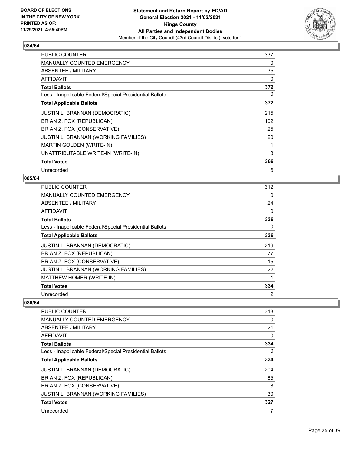

| <b>PUBLIC COUNTER</b>                                    | 337      |
|----------------------------------------------------------|----------|
| <b>MANUALLY COUNTED EMERGENCY</b>                        | 0        |
| ABSENTEE / MILITARY                                      | 35       |
| <b>AFFIDAVIT</b>                                         | $\Omega$ |
| <b>Total Ballots</b>                                     | 372      |
| Less - Inapplicable Federal/Special Presidential Ballots | 0        |
| <b>Total Applicable Ballots</b>                          | 372      |
| JUSTIN L. BRANNAN (DEMOCRATIC)                           | 215      |
| BRIAN Z. FOX (REPUBLICAN)                                | 102      |
| BRIAN Z. FOX (CONSERVATIVE)                              | 25       |
| JUSTIN L. BRANNAN (WORKING FAMILIES)                     | 20       |
| MARTIN GOLDEN (WRITE-IN)                                 |          |
| UNATTRIBUTABLE WRITE-IN (WRITE-IN)                       | 3        |
| <b>Total Votes</b>                                       | 366      |
| Unrecorded                                               | 6        |

## **085/64**

| <b>PUBLIC COUNTER</b>                                    | 312            |
|----------------------------------------------------------|----------------|
| <b>MANUALLY COUNTED EMERGENCY</b>                        | $\Omega$       |
| ABSENTEE / MILITARY                                      | 24             |
| AFFIDAVIT                                                | 0              |
| <b>Total Ballots</b>                                     | 336            |
| Less - Inapplicable Federal/Special Presidential Ballots | 0              |
| <b>Total Applicable Ballots</b>                          | 336            |
| <b>JUSTIN L. BRANNAN (DEMOCRATIC)</b>                    | 219            |
| BRIAN Z. FOX (REPUBLICAN)                                | 77             |
| BRIAN Z. FOX (CONSERVATIVE)                              | 15             |
| JUSTIN L. BRANNAN (WORKING FAMILIES)                     | 22             |
| MATTHEW HOMER (WRITE-IN)                                 |                |
| <b>Total Votes</b>                                       | 334            |
| Unrecorded                                               | $\overline{2}$ |

| <b>PUBLIC COUNTER</b>                                    | 313 |
|----------------------------------------------------------|-----|
| <b>MANUALLY COUNTED EMERGENCY</b>                        | 0   |
| ABSENTEE / MILITARY                                      | 21  |
| <b>AFFIDAVIT</b>                                         | 0   |
| <b>Total Ballots</b>                                     | 334 |
| Less - Inapplicable Federal/Special Presidential Ballots | 0   |
| <b>Total Applicable Ballots</b>                          | 334 |
| <b>JUSTIN L. BRANNAN (DEMOCRATIC)</b>                    | 204 |
| BRIAN Z. FOX (REPUBLICAN)                                | 85  |
| BRIAN Z. FOX (CONSERVATIVE)                              | 8   |
| JUSTIN L. BRANNAN (WORKING FAMILIES)                     | 30  |
| <b>Total Votes</b>                                       | 327 |
| Unrecorded                                               | 7   |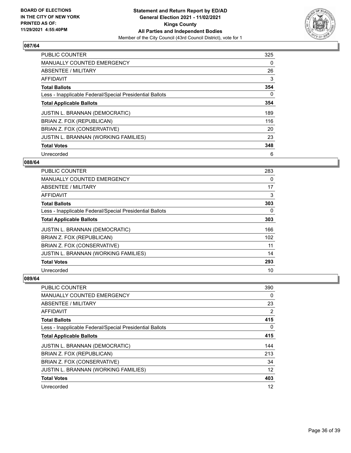

| <b>PUBLIC COUNTER</b>                                    | 325 |
|----------------------------------------------------------|-----|
| <b>MANUALLY COUNTED EMERGENCY</b>                        | 0   |
| ABSENTEE / MILITARY                                      | 26  |
| <b>AFFIDAVIT</b>                                         | 3   |
| <b>Total Ballots</b>                                     | 354 |
| Less - Inapplicable Federal/Special Presidential Ballots | 0   |
| <b>Total Applicable Ballots</b>                          | 354 |
| <b>JUSTIN L. BRANNAN (DEMOCRATIC)</b>                    | 189 |
| BRIAN Z. FOX (REPUBLICAN)                                | 116 |
| BRIAN Z. FOX (CONSERVATIVE)                              | 20  |
| JUSTIN L. BRANNAN (WORKING FAMILIES)                     | 23  |
| <b>Total Votes</b>                                       | 348 |
| Unrecorded                                               | 6   |

## **088/64**

| <b>PUBLIC COUNTER</b>                                    | 283 |
|----------------------------------------------------------|-----|
| <b>MANUALLY COUNTED EMERGENCY</b>                        | 0   |
| ABSENTEE / MILITARY                                      | 17  |
| AFFIDAVIT                                                | 3   |
| <b>Total Ballots</b>                                     | 303 |
| Less - Inapplicable Federal/Special Presidential Ballots | 0   |
| <b>Total Applicable Ballots</b>                          | 303 |
| <b>JUSTIN L. BRANNAN (DEMOCRATIC)</b>                    | 166 |
| BRIAN Z. FOX (REPUBLICAN)                                | 102 |
| BRIAN Z. FOX (CONSERVATIVE)                              | 11  |
| <b>JUSTIN L. BRANNAN (WORKING FAMILIES)</b>              | 14  |
| <b>Total Votes</b>                                       | 293 |
| Unrecorded                                               | 10  |

| <b>PUBLIC COUNTER</b>                                    | 390 |
|----------------------------------------------------------|-----|
| <b>MANUALLY COUNTED EMERGENCY</b>                        | 0   |
| ABSENTEE / MILITARY                                      | 23  |
| AFFIDAVIT                                                | 2   |
| <b>Total Ballots</b>                                     | 415 |
| Less - Inapplicable Federal/Special Presidential Ballots | 0   |
| <b>Total Applicable Ballots</b>                          | 415 |
| <b>JUSTIN L. BRANNAN (DEMOCRATIC)</b>                    | 144 |
| BRIAN Z. FOX (REPUBLICAN)                                | 213 |
| BRIAN Z. FOX (CONSERVATIVE)                              | 34  |
| JUSTIN L. BRANNAN (WORKING FAMILIES)                     | 12  |
| <b>Total Votes</b>                                       | 403 |
| Unrecorded                                               | 12  |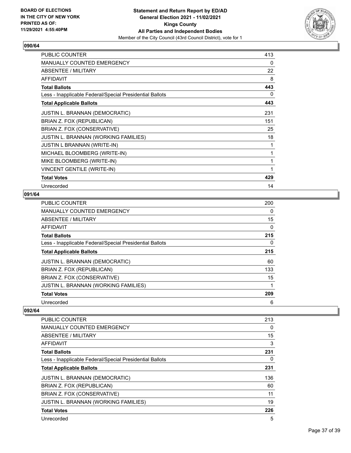

| <b>PUBLIC COUNTER</b>                                    | 413 |
|----------------------------------------------------------|-----|
| <b>MANUALLY COUNTED EMERGENCY</b>                        | 0   |
| ABSENTEE / MILITARY                                      | 22  |
| <b>AFFIDAVIT</b>                                         | 8   |
| <b>Total Ballots</b>                                     | 443 |
| Less - Inapplicable Federal/Special Presidential Ballots | 0   |
| <b>Total Applicable Ballots</b>                          | 443 |
| <b>JUSTIN L. BRANNAN (DEMOCRATIC)</b>                    | 231 |
| BRIAN Z. FOX (REPUBLICAN)                                | 151 |
| BRIAN Z. FOX (CONSERVATIVE)                              | 25  |
| JUSTIN L. BRANNAN (WORKING FAMILIES)                     | 18  |
| <b>JUSTIN L BRANNAN (WRITE-IN)</b>                       | 1   |
| MICHAEL BLOOMBERG (WRITE-IN)                             | 1   |
| MIKE BLOOMBERG (WRITE-IN)                                | 1   |
| <b>VINCENT GENTILE (WRITE-IN)</b>                        | 1   |
| <b>Total Votes</b>                                       | 429 |
| Unrecorded                                               | 14  |

## **091/64**

| PUBLIC COUNTER                                           | 200 |
|----------------------------------------------------------|-----|
| MANUALLY COUNTED EMERGENCY                               | 0   |
| ABSENTEE / MILITARY                                      | 15  |
| <b>AFFIDAVIT</b>                                         | 0   |
| <b>Total Ballots</b>                                     | 215 |
| Less - Inapplicable Federal/Special Presidential Ballots | 0   |
| <b>Total Applicable Ballots</b>                          | 215 |
| <b>JUSTIN L. BRANNAN (DEMOCRATIC)</b>                    | 60  |
| BRIAN Z. FOX (REPUBLICAN)                                | 133 |
| BRIAN Z. FOX (CONSERVATIVE)                              | 15  |
| JUSTIN L. BRANNAN (WORKING FAMILIES)                     |     |
| <b>Total Votes</b>                                       | 209 |
| Unrecorded                                               | 6   |

| <b>PUBLIC COUNTER</b>                                    | 213 |
|----------------------------------------------------------|-----|
| <b>MANUALLY COUNTED EMERGENCY</b>                        | 0   |
| ABSENTEE / MILITARY                                      | 15  |
| AFFIDAVIT                                                | 3   |
| <b>Total Ballots</b>                                     | 231 |
| Less - Inapplicable Federal/Special Presidential Ballots | 0   |
| <b>Total Applicable Ballots</b>                          | 231 |
| <b>JUSTIN L. BRANNAN (DEMOCRATIC)</b>                    | 136 |
| BRIAN Z. FOX (REPUBLICAN)                                | 60  |
| BRIAN Z. FOX (CONSERVATIVE)                              | 11  |
| <b>JUSTIN L. BRANNAN (WORKING FAMILIES)</b>              | 19  |
| <b>Total Votes</b>                                       | 226 |
| Unrecorded                                               | 5   |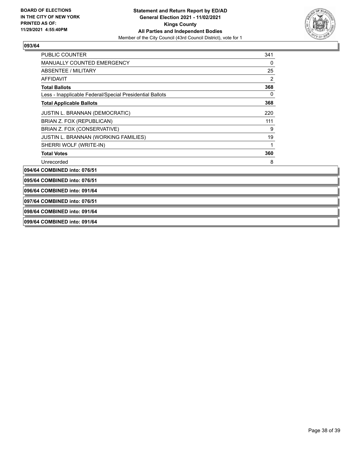

| <b>PUBLIC COUNTER</b>                                    | 341      |
|----------------------------------------------------------|----------|
| <b>MANUALLY COUNTED EMERGENCY</b>                        | $\Omega$ |
| ABSENTEE / MILITARY                                      | 25       |
| <b>AFFIDAVIT</b>                                         | 2        |
| <b>Total Ballots</b>                                     | 368      |
| Less - Inapplicable Federal/Special Presidential Ballots | 0        |
| <b>Total Applicable Ballots</b>                          | 368      |
| <b>JUSTIN L. BRANNAN (DEMOCRATIC)</b>                    | 220      |
| BRIAN Z. FOX (REPUBLICAN)                                | 111      |
| BRIAN Z. FOX (CONSERVATIVE)                              | 9        |
| JUSTIN L. BRANNAN (WORKING FAMILIES)                     | 19       |
| SHERRI WOLF (WRITE-IN)                                   | 1        |
| <b>Total Votes</b>                                       | 360      |
| Unrecorded                                               | 8        |
| 094/64 COMBINED into: 076/51                             |          |

**095/64 COMBINED into: 076/51**

**096/64 COMBINED into: 091/64**

**097/64 COMBINED into: 076/51**

**098/64 COMBINED into: 091/64**

**099/64 COMBINED into: 091/64**